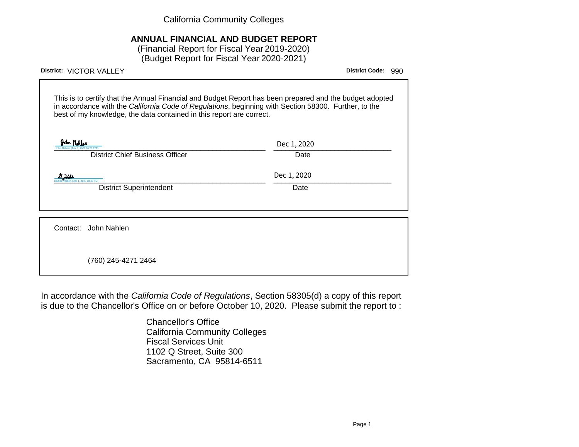California Community Colleges

### **ANNUAL FINANCIAL AND BUDGET REPORT**

(Financial Report for Fiscal Year 2019-2020) (Budget Report for Fiscal Year 2020-2021)

| District: VICTOR VALLEY                                                                                                                                                                                                                                                                 | <b>District Code:</b> | 990 |
|-----------------------------------------------------------------------------------------------------------------------------------------------------------------------------------------------------------------------------------------------------------------------------------------|-----------------------|-----|
| This is to certify that the Annual Financial and Budget Report has been prepared and the budget adopted<br>in accordance with the California Code of Regulations, beginning with Section 58300. Further, to the<br>best of my knowledge, the data contained in this report are correct. |                       |     |
| John Nobler<br>Dec 1, 2020<br><b>District Chief Business Officer</b><br>Date                                                                                                                                                                                                            |                       |     |
| Dec 1, 2020<br>ec 1, 2020 10:40 PST)<br><b>District Superintendent</b><br>Date                                                                                                                                                                                                          |                       |     |
| Contact: John Nahlen                                                                                                                                                                                                                                                                    |                       |     |
| (760) 245-4271 2464                                                                                                                                                                                                                                                                     |                       |     |

In accordance with the California Code of Regulations, Section 58305(d) a copy of this report is due to the Chancellor's Office on or before October 10, 2020. Please submit the report to :

> Chancellor's Office California Community Colleges Fiscal Services Unit 1102 Q Street, Suite 300 Sacramento, CA 95814-6511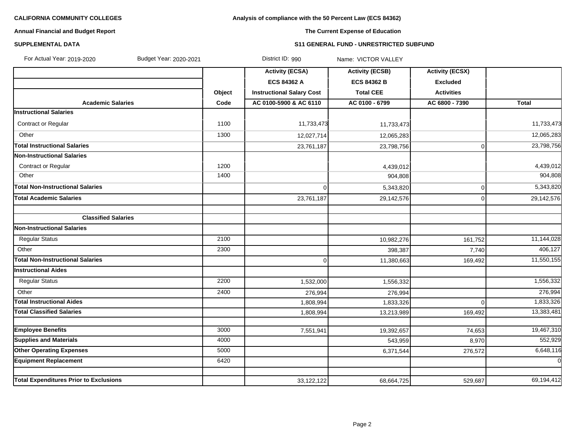### **Analysis of compliance with the 50 Percent Law (ECS 84362)**

#### **Annual Financial and Budget Report**

### **The Current Expense of Education**

#### **SUPPLEMENTAL DATA S11 GENERAL FUND - UNRESTRICTED SUBFUND**

| For Actual Year: 2019-2020<br>Budget Year: 2020-2021 |        | District ID: 990                 | Name: VICTOR VALLEY    |                        |              |
|------------------------------------------------------|--------|----------------------------------|------------------------|------------------------|--------------|
|                                                      |        | <b>Activity (ECSA)</b>           | <b>Activity (ECSB)</b> | <b>Activity (ECSX)</b> |              |
|                                                      |        | <b>ECS 84362 A</b>               | <b>ECS 84362 B</b>     | <b>Excluded</b>        |              |
|                                                      | Object | <b>Instructional Salary Cost</b> | <b>Total CEE</b>       | <b>Activities</b>      |              |
| <b>Academic Salaries</b>                             | Code   | AC 0100-5900 & AC 6110           | AC 0100 - 6799         | AC 6800 - 7390         | <b>Total</b> |
| <b>Instructional Salaries</b>                        |        |                                  |                        |                        |              |
| Contract or Regular                                  | 1100   | 11,733,473                       | 11,733,473             |                        | 11,733,473   |
| Other                                                | 1300   | 12,027,714                       | 12,065,283             |                        | 12,065,283   |
| <b>Total Instructional Salaries</b>                  |        | 23,761,187                       | 23,798,756             | $\mathbf 0$            | 23,798,756   |
| Non-Instructional Salaries                           |        |                                  |                        |                        |              |
| <b>Contract or Regular</b>                           | 1200   |                                  | 4,439,012              |                        | 4,439,012    |
| Other                                                | 1400   |                                  | 904,808                |                        | 904,808      |
| <b>Total Non-Instructional Salaries</b>              |        | $\Omega$                         | 5,343,820              | 0                      | 5,343,820    |
| <b>Total Academic Salaries</b>                       |        | 23,761,187                       | 29,142,576             | $\mathbf 0$            | 29,142,576   |
| <b>Classified Salaries</b>                           |        |                                  |                        |                        |              |
| <b>Non-Instructional Salaries</b>                    |        |                                  |                        |                        |              |
| <b>Regular Status</b>                                | 2100   |                                  | 10,982,276             | 161,752                | 11,144,028   |
| Other                                                | 2300   |                                  | 398,387                | 7,740                  | 406,127      |
| <b>Total Non-Instructional Salaries</b>              |        | $\Omega$                         | 11,380,663             | 169,492                | 11,550,155   |
| <b>Instructional Aides</b>                           |        |                                  |                        |                        |              |
| <b>Regular Status</b>                                | 2200   | 1,532,000                        | 1,556,332              |                        | 1,556,332    |
| Other                                                | 2400   | 276,994                          | 276,994                |                        | 276,994      |
| <b>Total Instructional Aides</b>                     |        | 1,808,994                        | 1,833,326              | $\Omega$               | 1,833,326    |
| <b>Total Classified Salaries</b>                     |        | 1,808,994                        | 13,213,989             | 169,492                | 13,383,481   |
|                                                      |        |                                  |                        |                        |              |
| <b>Employee Benefits</b>                             | 3000   | 7,551,941                        | 19,392,657             | 74,653                 | 19,467,310   |
| <b>Supplies and Materials</b>                        | 4000   |                                  | 543,959                | 8,970                  | 552,929      |
| <b>Other Operating Expenses</b>                      | 5000   |                                  | 6,371,544              | 276,572                | 6,648,116    |
| <b>Equipment Replacement</b>                         | 6420   |                                  |                        |                        | $\mathbf 0$  |
| <b>Total Expenditures Prior to Exclusions</b>        |        | 33, 122, 122                     | 68,664,725             | 529,687                | 69,194,412   |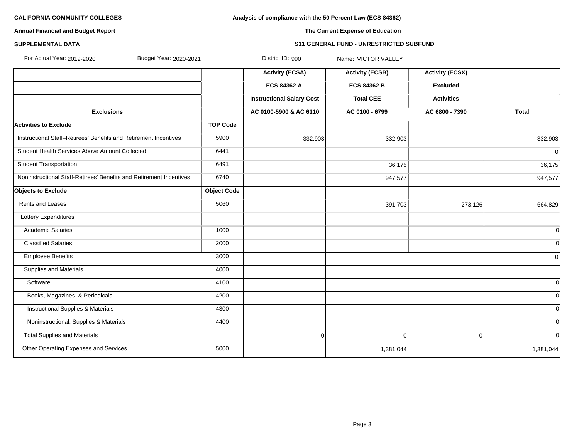**Analysis of compliance with the 50 Percent Law (ECS 84362)**

#### **Annual Financial and Budget Report**

### **The Current Expense of Education**

#### **SUPPLEMENTAL DATA S11 GENERAL FUND - UNRESTRICTED SUBFUND**

| For Actual Year: 2019-2020<br>Budget Year: 2020-2021                |                    | District ID: 990                 | Name: VICTOR VALLEY    |                        |                |
|---------------------------------------------------------------------|--------------------|----------------------------------|------------------------|------------------------|----------------|
|                                                                     |                    | <b>Activity (ECSA)</b>           | <b>Activity (ECSB)</b> | <b>Activity (ECSX)</b> |                |
|                                                                     |                    | <b>ECS 84362 A</b>               | <b>ECS 84362 B</b>     | <b>Excluded</b>        |                |
|                                                                     |                    | <b>Instructional Salary Cost</b> | <b>Total CEE</b>       | <b>Activities</b>      |                |
| <b>Exclusions</b>                                                   |                    | AC 0100-5900 & AC 6110           | AC 0100 - 6799         | AC 6800 - 7390         | <b>Total</b>   |
| <b>Activities to Exclude</b>                                        | <b>TOP Code</b>    |                                  |                        |                        |                |
| Instructional Staff-Retirees' Benefits and Retirement Incentives    | 5900               | 332,903                          | 332,903                |                        | 332,903        |
| Student Health Services Above Amount Collected                      | 6441               |                                  |                        |                        | $\overline{0}$ |
| <b>Student Transportation</b>                                       | 6491               |                                  | 36,175                 |                        | 36,175         |
| Noninstructional Staff-Retirees' Benefits and Retirement Incentives | 6740               |                                  | 947,577                |                        | 947,577        |
| <b>Objects to Exclude</b>                                           | <b>Object Code</b> |                                  |                        |                        |                |
| Rents and Leases                                                    | 5060               |                                  | 391,703                | 273,126                | 664,829        |
| Lottery Expenditures                                                |                    |                                  |                        |                        |                |
| <b>Academic Salaries</b>                                            | 1000               |                                  |                        |                        | 0l             |
| <b>Classified Salaries</b>                                          | 2000               |                                  |                        |                        | 0              |
| <b>Employee Benefits</b>                                            | 3000               |                                  |                        |                        | $\overline{0}$ |
| <b>Supplies and Materials</b>                                       | 4000               |                                  |                        |                        |                |
| Software                                                            | 4100               |                                  |                        |                        | <sup>0</sup>   |
| Books, Magazines, & Periodicals                                     | 4200               |                                  |                        |                        | <sup>0</sup>   |
| <b>Instructional Supplies &amp; Materials</b>                       | 4300               |                                  |                        |                        | <sup>0</sup>   |
| Noninstructional, Supplies & Materials                              | 4400               |                                  |                        |                        | <sup>0</sup>   |
| <b>Total Supplies and Materials</b>                                 |                    | $\overline{0}$                   | $\overline{0}$         | $\overline{0}$         | <sup>0</sup>   |
| Other Operating Expenses and Services                               | 5000               |                                  | 1,381,044              |                        | 1,381,044      |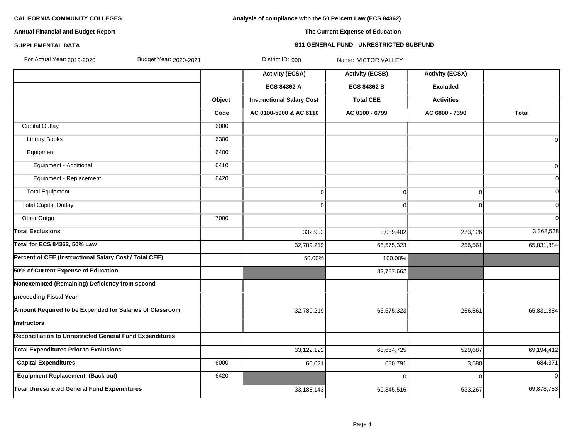#### **Analysis of compliance with the 50 Percent Law (ECS 84362)**

#### **Annual Financial and Budget Report**

### **The Current Expense of Education**

#### **SUPPLEMENTAL DATA S11 GENERAL FUND - UNRESTRICTED SUBFUND**

|  | For Actual Year: 2019-2020 |
|--|----------------------------|

For Actual Year: 2019-2020 Budget Year: 2020-2021 District ID: 990 Name: VICTOR VALLEY

|                                                                 |        | <b>Activity (ECSA)</b>           | <b>Activity (ECSB)</b> | <b>Activity (ECSX)</b> |                |
|-----------------------------------------------------------------|--------|----------------------------------|------------------------|------------------------|----------------|
|                                                                 |        | ECS 84362 A                      | <b>ECS 84362 B</b>     | <b>Excluded</b>        |                |
|                                                                 | Object | <b>Instructional Salary Cost</b> | <b>Total CEE</b>       | <b>Activities</b>      |                |
|                                                                 | Code   | AC 0100-5900 & AC 6110           | AC 0100 - 6799         | AC 6800 - 7390         | <b>Total</b>   |
| <b>Capital Outlay</b>                                           | 6000   |                                  |                        |                        |                |
| <b>Library Books</b>                                            | 6300   |                                  |                        |                        | $\Omega$       |
| Equipment                                                       | 6400   |                                  |                        |                        |                |
| Equipment - Additional                                          | 6410   |                                  |                        |                        | 0              |
| Equipment - Replacement                                         | 6420   |                                  |                        |                        |                |
| <b>Total Equipment</b>                                          |        | $\Omega$                         | $\overline{0}$         | 0                      |                |
| <b>Total Capital Outlay</b>                                     |        | $\Omega$                         | $\Omega$               | 0                      | $\Omega$       |
| Other Outgo                                                     | 7000   |                                  |                        |                        | $\Omega$       |
| <b>Total Exclusions</b>                                         |        | 332,903                          | 3,089,402              | 273,126                | 3,362,528      |
| <b>Total for ECS 84362, 50% Law</b>                             |        | 32,789,219                       | 65,575,323             | 256,561                | 65,831,884     |
| Percent of CEE (Instructional Salary Cost / Total CEE)          |        | 50.00%                           | 100.00%                |                        |                |
| 50% of Current Expense of Education                             |        |                                  | 32,787,662             |                        |                |
| Nonexempted (Remaining) Deficiency from second                  |        |                                  |                        |                        |                |
| preceeding Fiscal Year                                          |        |                                  |                        |                        |                |
| Amount Required to be Expended for Salaries of Classroom        |        | 32,789,219                       | 65,575,323             | 256,561                | 65,831,884     |
| Instructors                                                     |        |                                  |                        |                        |                |
| <b>Reconciliation to Unrestricted General Fund Expenditures</b> |        |                                  |                        |                        |                |
| <b>Total Expenditures Prior to Exclusions</b>                   |        | 33,122,122                       | 68,664,725             | 529,687                | 69,194,412     |
| <b>Capital Expenditures</b>                                     | 6000   | 66,021                           | 680,791                | 3,580                  | 684,371        |
| <b>Equipment Replacement (Back out)</b>                         | 6420   |                                  | $\Omega$               | $\Omega$               | $\overline{0}$ |
| <b>Total Unrestricted General Fund Expenditures</b>             |        | 33,188,143                       | 69,345,516             | 533,267                | 69,878,783     |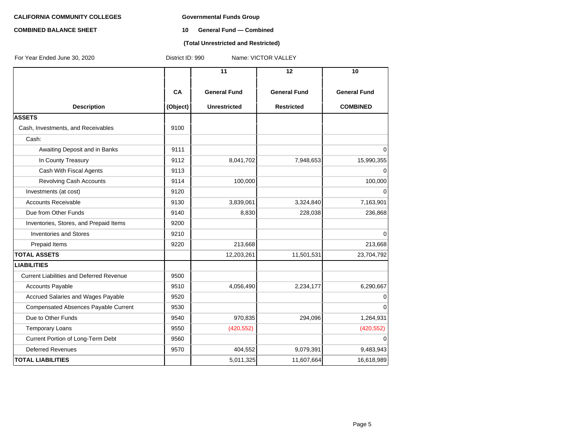#### **COMBINED BALANCE SHEET 10 General Fund — Combined**

#### **(Total Unrestricted and Restricted)**

| For Year Ended June 30, 2020                    | District ID: 990<br>Name: VICTOR VALLEY |                     |                     |                     |  |  |
|-------------------------------------------------|-----------------------------------------|---------------------|---------------------|---------------------|--|--|
|                                                 |                                         | 11                  | 12                  | 10                  |  |  |
|                                                 | CA                                      | <b>General Fund</b> | <b>General Fund</b> | <b>General Fund</b> |  |  |
| <b>Description</b>                              | (Object)                                | <b>Unrestricted</b> | <b>Restricted</b>   | <b>COMBINED</b>     |  |  |
| <b>ASSETS</b>                                   |                                         |                     |                     |                     |  |  |
| Cash, Investments, and Receivables              | 9100                                    |                     |                     |                     |  |  |
| Cash:                                           |                                         |                     |                     |                     |  |  |
| Awaiting Deposit and in Banks                   | 9111                                    |                     |                     | $\Omega$            |  |  |
| In County Treasury                              | 9112                                    | 8,041,702           | 7,948,653           | 15,990,355          |  |  |
| Cash With Fiscal Agents                         | 9113                                    |                     |                     | $\Omega$            |  |  |
| <b>Revolving Cash Accounts</b>                  | 9114                                    | 100,000             |                     | 100,000             |  |  |
| Investments (at cost)                           | 9120                                    |                     |                     | $\Omega$            |  |  |
| <b>Accounts Receivable</b>                      | 9130                                    | 3,839,061           | 3,324,840           | 7,163,901           |  |  |
| Due from Other Funds                            | 9140                                    | 8,830               | 228,038             | 236,868             |  |  |
| Inventories, Stores, and Prepaid Items          | 9200                                    |                     |                     |                     |  |  |
| <b>Inventories and Stores</b>                   | 9210                                    |                     |                     | $\Omega$            |  |  |
| Prepaid Items                                   | 9220                                    | 213,668             |                     | 213,668             |  |  |
| <b>TOTAL ASSETS</b>                             |                                         | 12,203,261          | 11,501,531          | 23,704,792          |  |  |
| <b>LIABILITIES</b>                              |                                         |                     |                     |                     |  |  |
| <b>Current Liabilities and Deferred Revenue</b> | 9500                                    |                     |                     |                     |  |  |
| <b>Accounts Payable</b>                         | 9510                                    | 4,056,490           | 2,234,177           | 6,290,667           |  |  |
| Accrued Salaries and Wages Payable              | 9520                                    |                     |                     | $\mathbf 0$         |  |  |
| <b>Compensated Absences Payable Current</b>     | 9530                                    |                     |                     | $\Omega$            |  |  |
| Due to Other Funds                              | 9540                                    | 970,835             | 294,096             | 1,264,931           |  |  |
| <b>Temporary Loans</b>                          | 9550                                    | (420, 552)          |                     | (420, 552)          |  |  |
| Current Portion of Long-Term Debt               | 9560                                    |                     |                     | $\Omega$            |  |  |
| <b>Deferred Revenues</b>                        | 9570                                    | 404,552             | 9,079,391           | 9,483,943           |  |  |
| <b>TOTAL LIABILITIES</b>                        |                                         | 5,011,325           | 11,607,664          | 16,618,989          |  |  |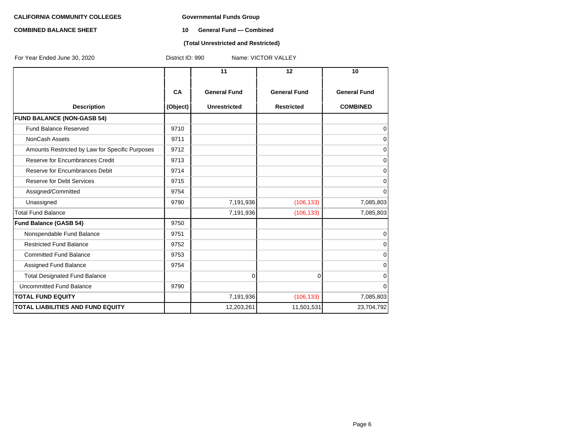#### **COMBINED BALANCE SHEET 10 General Fund — Combined**

#### **(Total Unrestricted and Restricted)**

| For Year Ended June 30, 2020                    | District ID: 990<br>Name: VICTOR VALLEY |                     |                     |                     |  |  |  |
|-------------------------------------------------|-----------------------------------------|---------------------|---------------------|---------------------|--|--|--|
|                                                 |                                         | 11                  | 12                  | 10                  |  |  |  |
|                                                 | <b>CA</b>                               | <b>General Fund</b> | <b>General Fund</b> | <b>General Fund</b> |  |  |  |
| <b>Description</b>                              | (Object)                                | <b>Unrestricted</b> | <b>Restricted</b>   | <b>COMBINED</b>     |  |  |  |
| <b>FUND BALANCE (NON-GASB 54)</b>               |                                         |                     |                     |                     |  |  |  |
| <b>Fund Balance Reserved</b>                    | 9710                                    |                     |                     | 0                   |  |  |  |
| <b>NonCash Assets</b>                           | 9711                                    |                     |                     | 0                   |  |  |  |
| Amounts Restricted by Law for Specific Purposes | 9712                                    |                     |                     | 0                   |  |  |  |
| Reserve for Encumbrances Credit                 | 9713                                    |                     |                     | 0                   |  |  |  |
| Reserve for Encumbrances Debit                  | 9714                                    |                     |                     | 0                   |  |  |  |
| <b>Reserve for Debt Services</b>                | 9715                                    |                     |                     | 0                   |  |  |  |
| Assigned/Committed                              | 9754                                    |                     |                     | 0                   |  |  |  |
| Unassigned                                      | 9790                                    | 7,191,936           | (106, 133)          | 7,085,803           |  |  |  |
| <b>Total Fund Balance</b>                       |                                         | 7,191,936           | (106, 133)          | 7,085,803           |  |  |  |
| <b>Fund Balance (GASB 54)</b>                   | 9750                                    |                     |                     |                     |  |  |  |
| Nonspendable Fund Balance                       | 9751                                    |                     |                     | $\overline{0}$      |  |  |  |
| <b>Restricted Fund Balance</b>                  | 9752                                    |                     |                     | 0                   |  |  |  |
| <b>Committed Fund Balance</b>                   | 9753                                    |                     |                     | 0                   |  |  |  |
| Assigned Fund Balance                           | 9754                                    |                     |                     | 0                   |  |  |  |
| <b>Total Designated Fund Balance</b>            |                                         | $\overline{0}$      | $\Omega$            | 0                   |  |  |  |
| Uncommitted Fund Balance                        | 9790                                    |                     |                     | 0                   |  |  |  |
| <b>TOTAL FUND EQUITY</b>                        |                                         | 7,191,936           | (106, 133)          | 7,085,803           |  |  |  |
| <b>TOTAL LIABILITIES AND FUND EQUITY</b>        |                                         | 12,203,261          | 11,501,531          | 23,704,792          |  |  |  |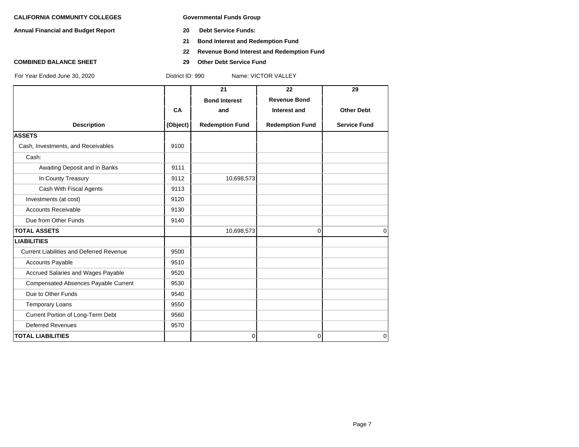**Annual Financial and Budget Report 20 Debt Service Funds:**

- 
- **21 Bond Interest and Redemption Fund**
- **22 Revenue Bond Interest and Redemption Fund**
- **COMBINED BALANCE SHEET 29 Other Debt Service Fund**

|                                                 |          | 21                     | 22                     | 29                  |
|-------------------------------------------------|----------|------------------------|------------------------|---------------------|
|                                                 |          | <b>Bond Interest</b>   | <b>Revenue Bond</b>    |                     |
|                                                 | CA       | and                    | Interest and           | <b>Other Debt</b>   |
| <b>Description</b>                              | (Object) | <b>Redemption Fund</b> | <b>Redemption Fund</b> | <b>Service Fund</b> |
| <b>ASSETS</b>                                   |          |                        |                        |                     |
| Cash, Investments, and Receivables              | 9100     |                        |                        |                     |
| Cash:                                           |          |                        |                        |                     |
| Awaiting Deposit and in Banks                   | 9111     |                        |                        |                     |
| In County Treasury                              | 9112     | 10,698,573             |                        |                     |
| Cash With Fiscal Agents                         | 9113     |                        |                        |                     |
| Investments (at cost)                           | 9120     |                        |                        |                     |
| <b>Accounts Receivable</b>                      | 9130     |                        |                        |                     |
| Due from Other Funds                            | 9140     |                        |                        |                     |
| <b>TOTAL ASSETS</b>                             |          | 10,698,573             | 0                      | $\Omega$            |
| <b>LIABILITIES</b>                              |          |                        |                        |                     |
| <b>Current Liabilities and Deferred Revenue</b> | 9500     |                        |                        |                     |
| <b>Accounts Payable</b>                         | 9510     |                        |                        |                     |
| Accrued Salaries and Wages Payable              | 9520     |                        |                        |                     |
| Compensated Absences Payable Current            | 9530     |                        |                        |                     |
| Due to Other Funds                              | 9540     |                        |                        |                     |
| <b>Temporary Loans</b>                          | 9550     |                        |                        |                     |
| Current Portion of Long-Term Debt               | 9560     |                        |                        |                     |
| <b>Deferred Revenues</b>                        | 9570     |                        |                        |                     |
| <b>TOTAL LIABILITIES</b>                        |          | 0                      | 0                      | $\overline{0}$      |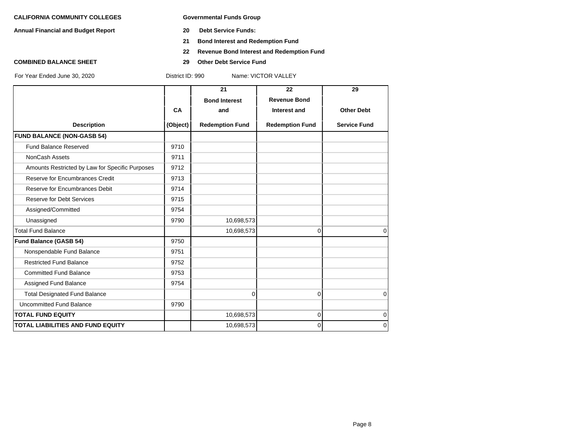**Annual Financial and Budget Report 20 Debt Service Funds:**

- 
- **21 Bond Interest and Redemption Fund**
- **22 Revenue Bond Interest and Redemption Fund**
- **COMBINED BALANCE SHEET 29 Other Debt Service Fund**

|                                                 |           | 21                     | 22                     | 29                  |
|-------------------------------------------------|-----------|------------------------|------------------------|---------------------|
|                                                 |           | <b>Bond Interest</b>   | <b>Revenue Bond</b>    |                     |
|                                                 | <b>CA</b> | and                    | Interest and           | <b>Other Debt</b>   |
| <b>Description</b>                              | (Object)  | <b>Redemption Fund</b> | <b>Redemption Fund</b> | <b>Service Fund</b> |
| <b>FUND BALANCE (NON-GASB 54)</b>               |           |                        |                        |                     |
| <b>Fund Balance Reserved</b>                    | 9710      |                        |                        |                     |
| <b>NonCash Assets</b>                           | 9711      |                        |                        |                     |
| Amounts Restricted by Law for Specific Purposes | 9712      |                        |                        |                     |
| Reserve for Encumbrances Credit                 | 9713      |                        |                        |                     |
| Reserve for Encumbrances Debit                  | 9714      |                        |                        |                     |
| <b>Reserve for Debt Services</b>                | 9715      |                        |                        |                     |
| Assigned/Committed                              | 9754      |                        |                        |                     |
| Unassigned                                      | 9790      | 10,698,573             |                        |                     |
| <b>Total Fund Balance</b>                       |           | 10,698,573             | 0                      | $\mathbf 0$         |
| <b>Fund Balance (GASB 54)</b>                   | 9750      |                        |                        |                     |
| Nonspendable Fund Balance                       | 9751      |                        |                        |                     |
| <b>Restricted Fund Balance</b>                  | 9752      |                        |                        |                     |
| <b>Committed Fund Balance</b>                   | 9753      |                        |                        |                     |
| Assigned Fund Balance                           | 9754      |                        |                        |                     |
| <b>Total Designated Fund Balance</b>            |           | 0                      | $\Omega$               | $\mathbf 0$         |
| <b>Uncommitted Fund Balance</b>                 | 9790      |                        |                        |                     |
| <b>TOTAL FUND EQUITY</b>                        |           | 10,698,573             | 0                      | $\mathbf 0$         |
| <b>TOTAL LIABILITIES AND FUND EQUITY</b>        |           | 10,698,573             | 0                      | $\mathbf 0$         |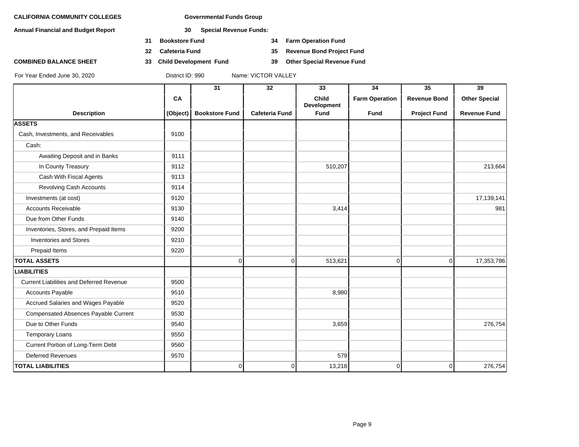**Annual Financial and Budget Report 30 Special Revenue Funds:**

- **31 Bookstore Fund 34 Farm Operation Fund**
- **32 Cafeteria Fund 35 Revenue Bond Project Fund**
- **COMBINED BALANCE SHEET 33 Child Development Fund 39 Other Special Revenue Fund**

|                                                 |          | $\overline{31}$       | $\overline{32}$       | 33                                 | $\overline{34}$       | $\overline{35}$     | $\overline{39}$      |
|-------------------------------------------------|----------|-----------------------|-----------------------|------------------------------------|-----------------------|---------------------|----------------------|
|                                                 | CA       |                       |                       | <b>Child</b><br><b>Development</b> | <b>Farm Operation</b> | <b>Revenue Bond</b> | <b>Other Special</b> |
| <b>Description</b>                              | (Object) | <b>Bookstore Fund</b> | <b>Cafeteria Fund</b> | <b>Fund</b>                        | <b>Fund</b>           | <b>Project Fund</b> | <b>Revenue Fund</b>  |
| <b>ASSETS</b>                                   |          |                       |                       |                                    |                       |                     |                      |
| Cash, Investments, and Receivables              | 9100     |                       |                       |                                    |                       |                     |                      |
| Cash:                                           |          |                       |                       |                                    |                       |                     |                      |
| Awaiting Deposit and in Banks                   | 9111     |                       |                       |                                    |                       |                     |                      |
| In County Treasury                              | 9112     |                       |                       | 510,207                            |                       |                     | 213,664              |
| Cash With Fiscal Agents                         | 9113     |                       |                       |                                    |                       |                     |                      |
| Revolving Cash Accounts                         | 9114     |                       |                       |                                    |                       |                     |                      |
| Investments (at cost)                           | 9120     |                       |                       |                                    |                       |                     | 17,139,141           |
| <b>Accounts Receivable</b>                      | 9130     |                       |                       | 3,414                              |                       |                     | 981                  |
| Due from Other Funds                            | 9140     |                       |                       |                                    |                       |                     |                      |
| Inventories, Stores, and Prepaid Items          | 9200     |                       |                       |                                    |                       |                     |                      |
| Inventories and Stores                          | 9210     |                       |                       |                                    |                       |                     |                      |
| Prepaid Items                                   | 9220     |                       |                       |                                    |                       |                     |                      |
| <b>TOTAL ASSETS</b>                             |          | $\overline{0}$        | $\overline{0}$        | 513,621                            | $\overline{0}$        | 0                   | 17,353,786           |
| <b>LIABILITIES</b>                              |          |                       |                       |                                    |                       |                     |                      |
| <b>Current Liabilities and Deferred Revenue</b> | 9500     |                       |                       |                                    |                       |                     |                      |
| <b>Accounts Payable</b>                         | 9510     |                       |                       | 8,980                              |                       |                     |                      |
| Accrued Salaries and Wages Payable              | 9520     |                       |                       |                                    |                       |                     |                      |
| Compensated Absences Payable Current            | 9530     |                       |                       |                                    |                       |                     |                      |
| Due to Other Funds                              | 9540     |                       |                       | 3,659                              |                       |                     | 276,754              |
| <b>Temporary Loans</b>                          | 9550     |                       |                       |                                    |                       |                     |                      |
| Current Portion of Long-Term Debt               | 9560     |                       |                       |                                    |                       |                     |                      |
| <b>Deferred Revenues</b>                        | 9570     |                       |                       | 579                                |                       |                     |                      |
| <b>TOTAL LIABILITIES</b>                        |          | $\overline{0}$        | 0                     | 13,218                             | 0                     | 0                   | 276,754              |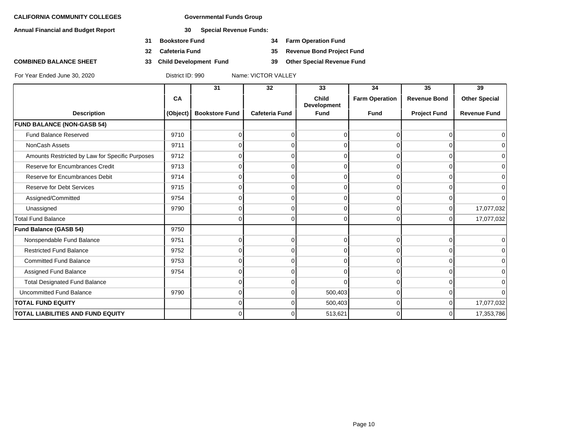**Annual Financial and Budget Report 30 Special Revenue Funds:**

- **31 Bookstore Fund 34 Farm Operation Fund**
- **32 Cafeteria Fund 35 Revenue Bond Project Fund**
- **COMBINED BALANCE SHEET 33 Child Development Fund 39 Other Special Revenue Fund**

|                                                 |          | 31                    | 32                    | 33                                 | 34                    | 35                  | 39                   |
|-------------------------------------------------|----------|-----------------------|-----------------------|------------------------------------|-----------------------|---------------------|----------------------|
|                                                 | CA       |                       |                       | <b>Child</b><br><b>Development</b> | <b>Farm Operation</b> | <b>Revenue Bond</b> | <b>Other Special</b> |
| <b>Description</b>                              | (Object) | <b>Bookstore Fund</b> | <b>Cafeteria Fund</b> | <b>Fund</b>                        | <b>Fund</b>           | <b>Project Fund</b> | <b>Revenue Fund</b>  |
| <b>FUND BALANCE (NON-GASB 54)</b>               |          |                       |                       |                                    |                       |                     |                      |
| <b>Fund Balance Reserved</b>                    | 9710     | 0                     | $\Omega$              | $\Omega$                           |                       | ŋ                   |                      |
| NonCash Assets                                  | 9711     | 0                     | $\Omega$              | 0                                  | 0                     | $\Omega$            | ∩                    |
| Amounts Restricted by Law for Specific Purposes | 9712     |                       | $\Omega$              | $\Omega$                           |                       | $\Omega$            |                      |
| Reserve for Encumbrances Credit                 | 9713     | $\Omega$              | $\Omega$              | $\Omega$                           | O                     | $\Omega$            | <sup>0</sup>         |
| Reserve for Encumbrances Debit                  | 9714     | 0                     | $\overline{0}$        | 0                                  | 0                     | 0                   | $\Omega$             |
| <b>Reserve for Debt Services</b>                | 9715     | ი                     | $\Omega$              | $\Omega$                           | n                     | 0                   |                      |
| Assigned/Committed                              | 9754     | 0                     | $\Omega$              | $\Omega$                           | O                     | U                   | ∩                    |
| Unassigned                                      | 9790     | 0                     | $\Omega$              | 0                                  | 0                     | $\Omega$            | 17,077,032           |
| <b>Total Fund Balance</b>                       |          | $\Omega$              | $\Omega$              | $\Omega$                           | $\Omega$              | $\Omega$            | 17,077,032           |
| Fund Balance (GASB 54)                          | 9750     |                       |                       |                                    |                       |                     |                      |
| Nonspendable Fund Balance                       | 9751     | 0                     | $\Omega$              | $\mathbf 0$                        | $\Omega$              | $\Omega$            | ∩                    |
| <b>Restricted Fund Balance</b>                  | 9752     | $\Omega$              | $\Omega$              | $\Omega$                           | U                     | 0                   |                      |
| <b>Committed Fund Balance</b>                   | 9753     | $\Omega$              | $\Omega$              | $\Omega$                           | $\Omega$              | $\Omega$            | $\Omega$             |
| Assigned Fund Balance                           | 9754     | 0                     | $\Omega$              | $\Omega$                           | 0                     | $\Omega$            | ∩                    |
| <b>Total Designated Fund Balance</b>            |          | $\Omega$              | $\Omega$              | $\Omega$                           | O                     | 0                   |                      |
| <b>Uncommitted Fund Balance</b>                 | 9790     | 0                     | $\Omega$              | 500,403                            | 0                     | 0                   | ∩                    |
| <b>TOTAL FUND EQUITY</b>                        |          | 0                     | $\Omega$              | 500,403                            | 0                     | $\Omega$            | 17,077,032           |
| TOTAL LIABILITIES AND FUND EQUITY               |          | 0                     | $\Omega$              | 513,621                            |                       | 0                   | 17,353,786           |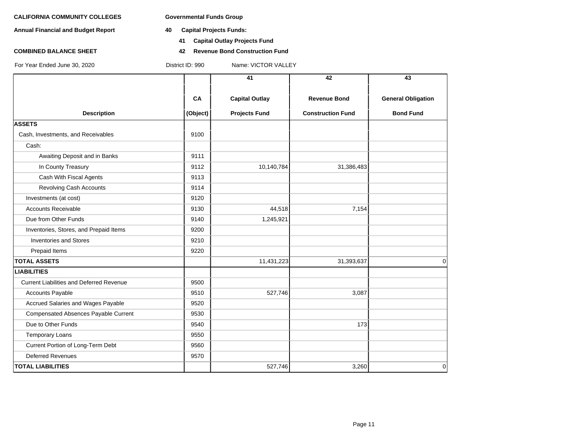- **Annual Financial and Budget Report 40 Capital Projects Funds:**
	- **41 Capital Outlay Projects Fund**
- **COMBINED BALANCE SHEET 42 Revenue Bond Construction Fund**

|                                                 |          | 41                    | 42                       | 43                        |
|-------------------------------------------------|----------|-----------------------|--------------------------|---------------------------|
|                                                 | CA       | <b>Capital Outlay</b> | <b>Revenue Bond</b>      | <b>General Obligation</b> |
| <b>Description</b>                              | (Object) | <b>Projects Fund</b>  | <b>Construction Fund</b> | <b>Bond Fund</b>          |
| <b>ASSETS</b>                                   |          |                       |                          |                           |
| Cash, Investments, and Receivables              | 9100     |                       |                          |                           |
| Cash:                                           |          |                       |                          |                           |
| Awaiting Deposit and in Banks                   | 9111     |                       |                          |                           |
| In County Treasury                              | 9112     | 10,140,784            | 31,386,483               |                           |
| Cash With Fiscal Agents                         | 9113     |                       |                          |                           |
| <b>Revolving Cash Accounts</b>                  | 9114     |                       |                          |                           |
| Investments (at cost)                           | 9120     |                       |                          |                           |
| <b>Accounts Receivable</b>                      | 9130     | 44,518                | 7,154                    |                           |
| Due from Other Funds                            | 9140     | 1,245,921             |                          |                           |
| Inventories, Stores, and Prepaid Items          | 9200     |                       |                          |                           |
| <b>Inventories and Stores</b>                   | 9210     |                       |                          |                           |
| Prepaid Items                                   | 9220     |                       |                          |                           |
| <b>TOTAL ASSETS</b>                             |          | 11,431,223            | 31,393,637               | 0                         |
| <b>LIABILITIES</b>                              |          |                       |                          |                           |
| <b>Current Liabilities and Deferred Revenue</b> | 9500     |                       |                          |                           |
| <b>Accounts Payable</b>                         | 9510     | 527,746               | 3,087                    |                           |
| Accrued Salaries and Wages Payable              | 9520     |                       |                          |                           |
| Compensated Absences Payable Current            | 9530     |                       |                          |                           |
| Due to Other Funds                              | 9540     |                       | 173                      |                           |
| <b>Temporary Loans</b>                          | 9550     |                       |                          |                           |
| Current Portion of Long-Term Debt               | 9560     |                       |                          |                           |
| <b>Deferred Revenues</b>                        | 9570     |                       |                          |                           |
| <b>TOTAL LIABILITIES</b>                        |          | 527,746               | 3,260                    | 0                         |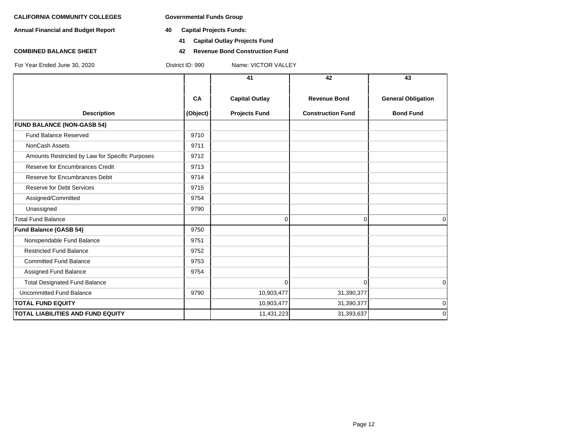**Annual Financial and Budget Report 40 Capital Projects Funds:**

- - **41 Capital Outlay Projects Fund**
- **COMBINED BALANCE SHEET 42 Revenue Bond Construction Fund**

|                                                 |          | 41                    | 42                       | 43                        |
|-------------------------------------------------|----------|-----------------------|--------------------------|---------------------------|
|                                                 | CA       | <b>Capital Outlay</b> | <b>Revenue Bond</b>      | <b>General Obligation</b> |
| <b>Description</b>                              | (Object) | <b>Projects Fund</b>  | <b>Construction Fund</b> | <b>Bond Fund</b>          |
| <b>FUND BALANCE (NON-GASB 54)</b>               |          |                       |                          |                           |
| <b>Fund Balance Reserved</b>                    | 9710     |                       |                          |                           |
| NonCash Assets                                  | 9711     |                       |                          |                           |
| Amounts Restricted by Law for Specific Purposes | 9712     |                       |                          |                           |
| Reserve for Encumbrances Credit                 | 9713     |                       |                          |                           |
| Reserve for Encumbrances Debit                  | 9714     |                       |                          |                           |
| <b>Reserve for Debt Services</b>                | 9715     |                       |                          |                           |
| Assigned/Committed                              | 9754     |                       |                          |                           |
| Unassigned                                      | 9790     |                       |                          |                           |
| <b>Total Fund Balance</b>                       |          | 0                     | $\Omega$                 | $\Omega$                  |
| <b>Fund Balance (GASB 54)</b>                   | 9750     |                       |                          |                           |
| Nonspendable Fund Balance                       | 9751     |                       |                          |                           |
| <b>Restricted Fund Balance</b>                  | 9752     |                       |                          |                           |
| <b>Committed Fund Balance</b>                   | 9753     |                       |                          |                           |
| Assigned Fund Balance                           | 9754     |                       |                          |                           |
| <b>Total Designated Fund Balance</b>            |          | $\Omega$              | $\Omega$                 | $\Omega$                  |
| Uncommitted Fund Balance                        | 9790     | 10,903,477            | 31,390,377               |                           |
| <b>TOTAL FUND EQUITY</b>                        |          | 10,903,477            | 31,390,377               | $\mathbf 0$               |
| <b>TOTAL LIABILITIES AND FUND EQUITY</b>        |          | 11,431,223            | 31,393,637               | $\Omega$                  |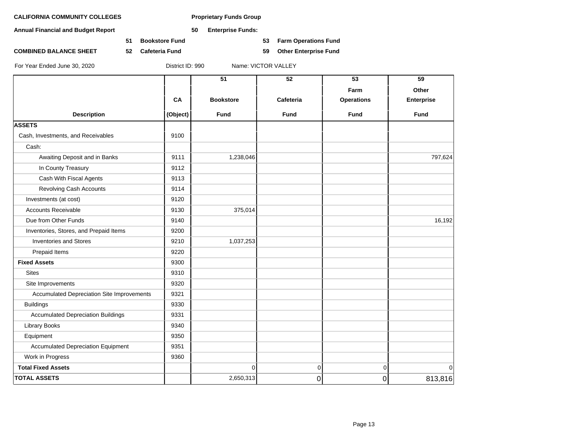**Annual Financial and Budget Report 50 Enterprise Funds:**

**51 Bookstore Fund 53 Farm Operations Fund**

**COMBINED BALANCE SHEET 52 Cafeteria Fund 59 Other Enterprise Fund**

|                                            |          | 51               | 52          | 53                | 59                |
|--------------------------------------------|----------|------------------|-------------|-------------------|-------------------|
|                                            |          |                  |             | Farm              | Other             |
|                                            | CA       | <b>Bookstore</b> | Cafeteria   | <b>Operations</b> | <b>Enterprise</b> |
| <b>Description</b>                         | (Object) | <b>Fund</b>      | <b>Fund</b> | <b>Fund</b>       | <b>Fund</b>       |
| <b>ASSETS</b>                              |          |                  |             |                   |                   |
| Cash, Investments, and Receivables         | 9100     |                  |             |                   |                   |
| Cash:                                      |          |                  |             |                   |                   |
| Awaiting Deposit and in Banks              | 9111     | 1,238,046        |             |                   | 797,624           |
| In County Treasury                         | 9112     |                  |             |                   |                   |
| Cash With Fiscal Agents                    | 9113     |                  |             |                   |                   |
| Revolving Cash Accounts                    | 9114     |                  |             |                   |                   |
| Investments (at cost)                      | 9120     |                  |             |                   |                   |
| <b>Accounts Receivable</b>                 | 9130     | 375,014          |             |                   |                   |
| Due from Other Funds                       | 9140     |                  |             |                   | 16,192            |
| Inventories, Stores, and Prepaid Items     | 9200     |                  |             |                   |                   |
| <b>Inventories and Stores</b>              | 9210     | 1,037,253        |             |                   |                   |
| Prepaid Items                              | 9220     |                  |             |                   |                   |
| <b>Fixed Assets</b>                        | 9300     |                  |             |                   |                   |
| <b>Sites</b>                               | 9310     |                  |             |                   |                   |
| Site Improvements                          | 9320     |                  |             |                   |                   |
| Accumulated Depreciation Site Improvements | 9321     |                  |             |                   |                   |
| <b>Buildings</b>                           | 9330     |                  |             |                   |                   |
| <b>Accumulated Depreciation Buildings</b>  | 9331     |                  |             |                   |                   |
| Library Books                              | 9340     |                  |             |                   |                   |
| Equipment                                  | 9350     |                  |             |                   |                   |
| <b>Accumulated Depreciation Equipment</b>  | 9351     |                  |             |                   |                   |
| Work in Progress                           | 9360     |                  |             |                   |                   |
| <b>Total Fixed Assets</b>                  |          | $\mathbf 0$      | 0           | $\mathbf 0$       | $\Omega$          |
| <b>TOTAL ASSETS</b>                        |          | 2,650,313        | 0           | $\mathsf 0$       | 813,816           |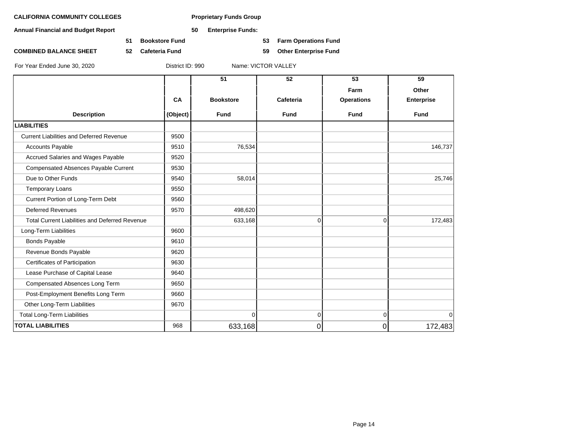**Annual Financial and Budget Report 50 Enterprise Funds:**

**COMBINED BALANCE SHEET 52 Cafeteria Fund 59 Other Enterprise Fund**

**51 Bookstore Fund 53 Farm Operations Fund**

|                                                       |          | 51               | $\overline{52}$ | 53                | 59                |
|-------------------------------------------------------|----------|------------------|-----------------|-------------------|-------------------|
|                                                       |          |                  |                 | Farm              | Other             |
|                                                       | CA       | <b>Bookstore</b> | Cafeteria       | <b>Operations</b> | <b>Enterprise</b> |
| <b>Description</b>                                    | (Object) | <b>Fund</b>      | <b>Fund</b>     | <b>Fund</b>       | <b>Fund</b>       |
| <b>LIABILITIES</b>                                    |          |                  |                 |                   |                   |
| <b>Current Liabilities and Deferred Revenue</b>       | 9500     |                  |                 |                   |                   |
| <b>Accounts Payable</b>                               | 9510     | 76,534           |                 |                   | 146,737           |
| Accrued Salaries and Wages Payable                    | 9520     |                  |                 |                   |                   |
| Compensated Absences Payable Current                  | 9530     |                  |                 |                   |                   |
| Due to Other Funds                                    | 9540     | 58,014           |                 |                   | 25,746            |
| <b>Temporary Loans</b>                                | 9550     |                  |                 |                   |                   |
| Current Portion of Long-Term Debt                     | 9560     |                  |                 |                   |                   |
| <b>Deferred Revenues</b>                              | 9570     | 498,620          |                 |                   |                   |
| <b>Total Current Liabilities and Deferred Revenue</b> |          | 633,168          | 0               | $\Omega$          | 172,483           |
| Long-Term Liabilities                                 | 9600     |                  |                 |                   |                   |
| <b>Bonds Payable</b>                                  | 9610     |                  |                 |                   |                   |
| Revenue Bonds Payable                                 | 9620     |                  |                 |                   |                   |
| Certificates of Participation                         | 9630     |                  |                 |                   |                   |
| Lease Purchase of Capital Lease                       | 9640     |                  |                 |                   |                   |
| Compensated Absences Long Term                        | 9650     |                  |                 |                   |                   |
| Post-Employment Benefits Long Term                    | 9660     |                  |                 |                   |                   |
| Other Long-Term Liabilities                           | 9670     |                  |                 |                   |                   |
| <b>Total Long-Term Liabilities</b>                    |          | $\overline{0}$   | $\overline{0}$  | $\overline{0}$    | $\mathbf 0$       |
| <b>TOTAL LIABILITIES</b>                              | 968      | 633,168          | $\overline{0}$  | 0                 | 172,483           |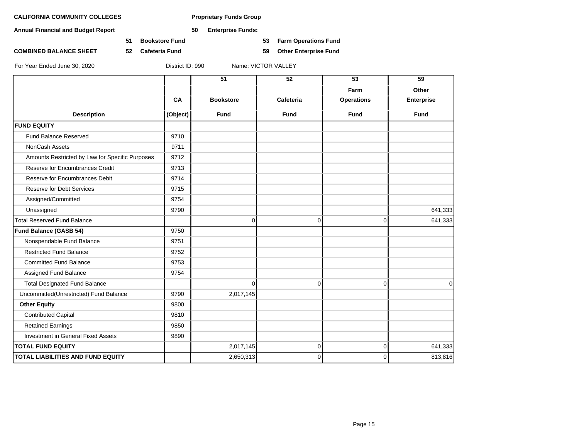**Annual Financial and Budget Report 50 Enterprise Funds:**

**51 Bookstore Fund 53 Farm Operations Fund**

**COMBINED BALANCE SHEET 52 Cafeteria Fund 59 Other Enterprise Fund**

|                                                 |          | 51               | 52           | 53                | 59                |
|-------------------------------------------------|----------|------------------|--------------|-------------------|-------------------|
|                                                 |          |                  |              |                   |                   |
|                                                 |          |                  |              | Farm              | Other             |
|                                                 | CA       | <b>Bookstore</b> | Cafeteria    | <b>Operations</b> | <b>Enterprise</b> |
| <b>Description</b>                              | (Object) | <b>Fund</b>      | <b>Fund</b>  | <b>Fund</b>       | <b>Fund</b>       |
| <b>FUND EQUITY</b>                              |          |                  |              |                   |                   |
| Fund Balance Reserved                           | 9710     |                  |              |                   |                   |
| NonCash Assets                                  | 9711     |                  |              |                   |                   |
| Amounts Restricted by Law for Specific Purposes | 9712     |                  |              |                   |                   |
| Reserve for Encumbrances Credit                 | 9713     |                  |              |                   |                   |
| Reserve for Encumbrances Debit                  | 9714     |                  |              |                   |                   |
| <b>Reserve for Debt Services</b>                | 9715     |                  |              |                   |                   |
| Assigned/Committed                              | 9754     |                  |              |                   |                   |
| Unassigned                                      | 9790     |                  |              |                   | 641,333           |
| Total Reserved Fund Balance                     |          | 0                | 0            | $\overline{0}$    | 641,333           |
| <b>Fund Balance (GASB 54)</b>                   | 9750     |                  |              |                   |                   |
| Nonspendable Fund Balance                       | 9751     |                  |              |                   |                   |
| <b>Restricted Fund Balance</b>                  | 9752     |                  |              |                   |                   |
| <b>Committed Fund Balance</b>                   | 9753     |                  |              |                   |                   |
| Assigned Fund Balance                           | 9754     |                  |              |                   |                   |
| <b>Total Designated Fund Balance</b>            |          | $\Omega$         | $\mathbf 0$  | $\Omega$          | $\mathbf 0$       |
| Uncommitted(Unrestricted) Fund Balance          | 9790     | 2,017,145        |              |                   |                   |
| <b>Other Equity</b>                             | 9800     |                  |              |                   |                   |
| <b>Contributed Capital</b>                      | 9810     |                  |              |                   |                   |
| <b>Retained Earnings</b>                        | 9850     |                  |              |                   |                   |
| Investment in General Fixed Assets              | 9890     |                  |              |                   |                   |
| <b>TOTAL FUND EQUITY</b>                        |          | 2,017,145        | 0            | $\overline{0}$    | 641,333           |
| <b>TOTAL LIABILITIES AND FUND EQUITY</b>        |          | 2,650,313        | $\mathbf{0}$ | $\Omega$          | 813,816           |
|                                                 |          |                  |              |                   |                   |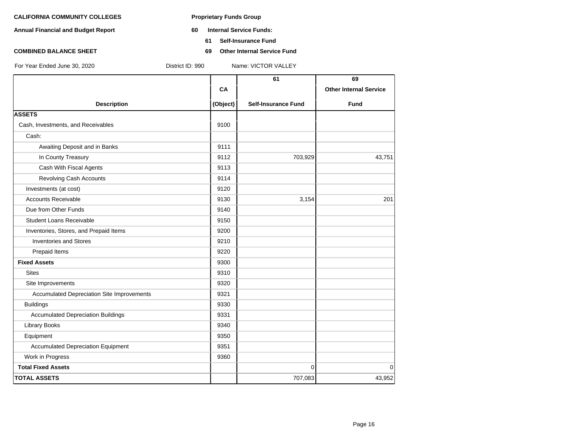- **Annual Financial and Budget Report 60 Internal Service Funds:**
	- **61 Self-Insurance Fund**
- **COMBINED BALANCE SHEET 69 Other Internal Service Fund**

|                                            |          | 61                         | 69                            |
|--------------------------------------------|----------|----------------------------|-------------------------------|
|                                            | CA       |                            | <b>Other Internal Service</b> |
| <b>Description</b>                         | (Object) | <b>Self-Insurance Fund</b> | <b>Fund</b>                   |
| <b>ASSETS</b>                              |          |                            |                               |
| Cash, Investments, and Receivables         | 9100     |                            |                               |
| Cash:                                      |          |                            |                               |
| Awaiting Deposit and in Banks              | 9111     |                            |                               |
| In County Treasury                         | 9112     | 703,929                    | 43,751                        |
| Cash With Fiscal Agents                    | 9113     |                            |                               |
| Revolving Cash Accounts                    | 9114     |                            |                               |
| Investments (at cost)                      | 9120     |                            |                               |
| <b>Accounts Receivable</b>                 | 9130     | 3,154                      | 201                           |
| Due from Other Funds                       | 9140     |                            |                               |
| <b>Student Loans Receivable</b>            | 9150     |                            |                               |
| Inventories, Stores, and Prepaid Items     | 9200     |                            |                               |
| <b>Inventories and Stores</b>              | 9210     |                            |                               |
| Prepaid Items                              | 9220     |                            |                               |
| <b>Fixed Assets</b>                        | 9300     |                            |                               |
| <b>Sites</b>                               | 9310     |                            |                               |
| Site Improvements                          | 9320     |                            |                               |
| Accumulated Depreciation Site Improvements | 9321     |                            |                               |
| <b>Buildings</b>                           | 9330     |                            |                               |
| <b>Accumulated Depreciation Buildings</b>  | 9331     |                            |                               |
| <b>Library Books</b>                       | 9340     |                            |                               |
| Equipment                                  | 9350     |                            |                               |
| <b>Accumulated Depreciation Equipment</b>  | 9351     |                            |                               |
| Work in Progress                           | 9360     |                            |                               |
| <b>Total Fixed Assets</b>                  |          | $\mathbf 0$                | $\mathbf 0$                   |
| <b>TOTAL ASSETS</b>                        |          | 707,083                    | 43,952                        |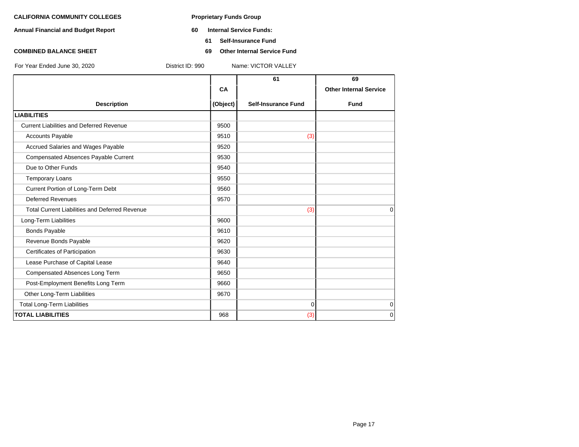- **Annual Financial and Budget Report 60 Internal Service Funds:**
	- **61 Self-Insurance Fund**
- **COMBINED BALANCE SHEET 69 Other Internal Service Fund**

|                                                       |          | 61                         | 69                            |
|-------------------------------------------------------|----------|----------------------------|-------------------------------|
|                                                       | CA       |                            | <b>Other Internal Service</b> |
| <b>Description</b>                                    | (Object) | <b>Self-Insurance Fund</b> | <b>Fund</b>                   |
| <b>LIABILITIES</b>                                    |          |                            |                               |
| <b>Current Liabilities and Deferred Revenue</b>       | 9500     |                            |                               |
| <b>Accounts Payable</b>                               | 9510     | (3)                        |                               |
| Accrued Salaries and Wages Payable                    | 9520     |                            |                               |
| Compensated Absences Payable Current                  | 9530     |                            |                               |
| Due to Other Funds                                    | 9540     |                            |                               |
| Temporary Loans                                       | 9550     |                            |                               |
| Current Portion of Long-Term Debt                     | 9560     |                            |                               |
| <b>Deferred Revenues</b>                              | 9570     |                            |                               |
| <b>Total Current Liabilities and Deferred Revenue</b> |          | (3)                        | $\Omega$                      |
| Long-Term Liabilities                                 | 9600     |                            |                               |
| <b>Bonds Payable</b>                                  | 9610     |                            |                               |
| Revenue Bonds Payable                                 | 9620     |                            |                               |
| Certificates of Participation                         | 9630     |                            |                               |
| Lease Purchase of Capital Lease                       | 9640     |                            |                               |
| Compensated Absences Long Term                        | 9650     |                            |                               |
| Post-Employment Benefits Long Term                    | 9660     |                            |                               |
| Other Long-Term Liabilities                           | 9670     |                            |                               |
| <b>Total Long-Term Liabilities</b>                    |          | $\Omega$                   | $\mathbf 0$                   |
| <b>TOTAL LIABILITIES</b>                              | 968      | (3)                        | 0                             |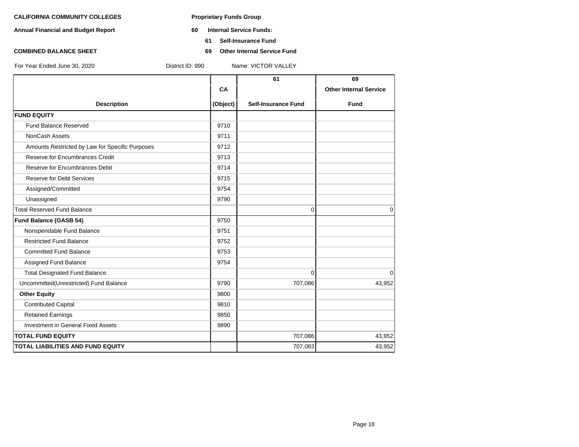- **Annual Financial and Budget Report 60 Internal Service Funds:**
	- **61 Self-Insurance Fund**
- **COMBINED BALANCE SHEET 69 Other Internal Service Fund**

|                                                 |          | 61                         | 69                            |
|-------------------------------------------------|----------|----------------------------|-------------------------------|
|                                                 | CA       |                            | <b>Other Internal Service</b> |
| <b>Description</b>                              | (Object) | <b>Self-Insurance Fund</b> | <b>Fund</b>                   |
| <b>FUND EQUITY</b>                              |          |                            |                               |
| <b>Fund Balance Reserved</b>                    | 9710     |                            |                               |
| <b>NonCash Assets</b>                           | 9711     |                            |                               |
| Amounts Restricted by Law for Specific Purposes | 9712     |                            |                               |
| Reserve for Encumbrances Credit                 | 9713     |                            |                               |
| Reserve for Encumbrances Debit                  | 9714     |                            |                               |
| <b>Reserve for Debt Services</b>                | 9715     |                            |                               |
| Assigned/Committed                              | 9754     |                            |                               |
| Unassigned                                      | 9790     |                            |                               |
| <b>Total Reserved Fund Balance</b>              |          | $\mathbf{0}$               | $\Omega$                      |
| Fund Balance (GASB 54)                          | 9750     |                            |                               |
| Nonspendable Fund Balance                       | 9751     |                            |                               |
| <b>Restricted Fund Balance</b>                  | 9752     |                            |                               |
| <b>Committed Fund Balance</b>                   | 9753     |                            |                               |
| Assigned Fund Balance                           | 9754     |                            |                               |
| <b>Total Designated Fund Balance</b>            |          | $\Omega$                   | $\mathbf 0$                   |
| Uncommitted(Unrestricted) Fund Balance          | 9790     | 707,086                    | 43,952                        |
| <b>Other Equity</b>                             | 9800     |                            |                               |
| <b>Contributed Capital</b>                      | 9810     |                            |                               |
| <b>Retained Earnings</b>                        | 9850     |                            |                               |
| <b>Investment in General Fixed Assets</b>       | 9890     |                            |                               |
| <b>TOTAL FUND EQUITY</b>                        |          | 707,086                    | 43,952                        |
| <b>TOTAL LIABILITIES AND FUND EQUITY</b>        |          | 707,083                    | 43,952                        |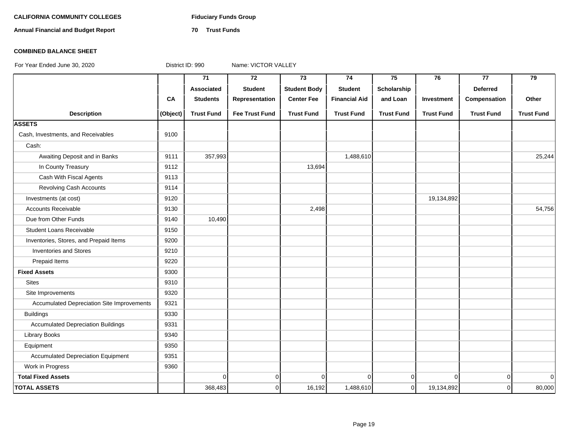#### CALIFORNIA COMMUNITY COLLEGES Fiduciary Funds Group

**Annual Financial and Budget Report 70 Trust Funds**

### **COMBINED BALANCE SHEET**

|                                            |          | $\overline{71}$   | $\overline{72}$       | $\overline{73}$     | 74                   | 75                | 76                | 77                | 79                |
|--------------------------------------------|----------|-------------------|-----------------------|---------------------|----------------------|-------------------|-------------------|-------------------|-------------------|
|                                            |          | Associated        | <b>Student</b>        | <b>Student Body</b> | <b>Student</b>       | Scholarship       |                   | <b>Deferred</b>   |                   |
|                                            | CA       | <b>Students</b>   | Representation        | <b>Center Fee</b>   | <b>Financial Aid</b> | and Loan          | Investment        | Compensation      | Other             |
| <b>Description</b>                         | (Object) | <b>Trust Fund</b> | <b>Fee Trust Fund</b> | <b>Trust Fund</b>   | <b>Trust Fund</b>    | <b>Trust Fund</b> | <b>Trust Fund</b> | <b>Trust Fund</b> | <b>Trust Fund</b> |
| <b>ASSETS</b>                              |          |                   |                       |                     |                      |                   |                   |                   |                   |
| Cash, Investments, and Receivables         | 9100     |                   |                       |                     |                      |                   |                   |                   |                   |
| Cash:                                      |          |                   |                       |                     |                      |                   |                   |                   |                   |
| Awaiting Deposit and in Banks              | 9111     | 357,993           |                       |                     | 1,488,610            |                   |                   |                   | 25,244            |
| In County Treasury                         | 9112     |                   |                       | 13,694              |                      |                   |                   |                   |                   |
| Cash With Fiscal Agents                    | 9113     |                   |                       |                     |                      |                   |                   |                   |                   |
| <b>Revolving Cash Accounts</b>             | 9114     |                   |                       |                     |                      |                   |                   |                   |                   |
| Investments (at cost)                      | 9120     |                   |                       |                     |                      |                   | 19,134,892        |                   |                   |
| Accounts Receivable                        | 9130     |                   |                       | 2,498               |                      |                   |                   |                   | 54,756            |
| Due from Other Funds                       | 9140     | 10,490            |                       |                     |                      |                   |                   |                   |                   |
| <b>Student Loans Receivable</b>            | 9150     |                   |                       |                     |                      |                   |                   |                   |                   |
| Inventories, Stores, and Prepaid Items     | 9200     |                   |                       |                     |                      |                   |                   |                   |                   |
| <b>Inventories and Stores</b>              | 9210     |                   |                       |                     |                      |                   |                   |                   |                   |
| Prepaid Items                              | 9220     |                   |                       |                     |                      |                   |                   |                   |                   |
| <b>Fixed Assets</b>                        | 9300     |                   |                       |                     |                      |                   |                   |                   |                   |
| <b>Sites</b>                               | 9310     |                   |                       |                     |                      |                   |                   |                   |                   |
| Site Improvements                          | 9320     |                   |                       |                     |                      |                   |                   |                   |                   |
| Accumulated Depreciation Site Improvements | 9321     |                   |                       |                     |                      |                   |                   |                   |                   |
| <b>Buildings</b>                           | 9330     |                   |                       |                     |                      |                   |                   |                   |                   |
| <b>Accumulated Depreciation Buildings</b>  | 9331     |                   |                       |                     |                      |                   |                   |                   |                   |
| <b>Library Books</b>                       | 9340     |                   |                       |                     |                      |                   |                   |                   |                   |
| Equipment                                  | 9350     |                   |                       |                     |                      |                   |                   |                   |                   |
| <b>Accumulated Depreciation Equipment</b>  | 9351     |                   |                       |                     |                      |                   |                   |                   |                   |
| Work in Progress                           | 9360     |                   |                       |                     |                      |                   |                   |                   |                   |
| <b>Total Fixed Assets</b>                  |          | $\mathbf 0$       | $\overline{0}$        | $\Omega$            | $\Omega$             | $\Omega$          | $\Omega$          | $\overline{0}$    | $\Omega$          |
| <b>TOTAL ASSETS</b>                        |          | 368,483           | $\mathbf 0$           | 16,192              | 1,488,610            | $\overline{0}$    | 19,134,892        | $\overline{0}$    | 80,000            |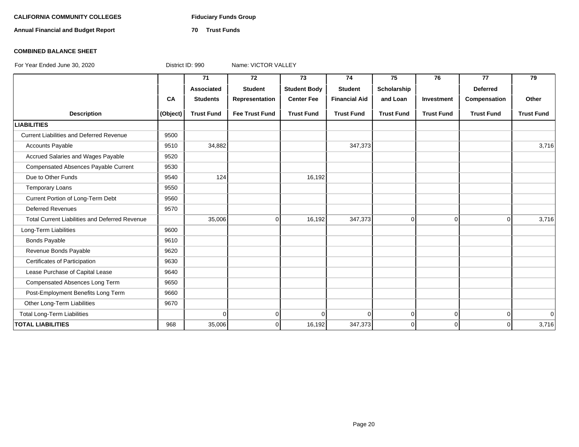#### CALIFORNIA COMMUNITY COLLEGES Fiduciary Funds Group

**Annual Financial and Budget Report 70 Trust Funds**

#### **COMBINED BALANCE SHEET**

|                                                       |          | 71                | 72                    | 73                  | 74                   | 75                | 76                | 77                | 79                |
|-------------------------------------------------------|----------|-------------------|-----------------------|---------------------|----------------------|-------------------|-------------------|-------------------|-------------------|
|                                                       |          | <b>Associated</b> | <b>Student</b>        | <b>Student Body</b> | <b>Student</b>       | Scholarship       |                   | <b>Deferred</b>   |                   |
|                                                       | CA       | <b>Students</b>   | Representation        | <b>Center Fee</b>   | <b>Financial Aid</b> | and Loan          | Investment        | Compensation      | Other             |
| <b>Description</b>                                    | (Object) | <b>Trust Fund</b> | <b>Fee Trust Fund</b> | <b>Trust Fund</b>   | <b>Trust Fund</b>    | <b>Trust Fund</b> | <b>Trust Fund</b> | <b>Trust Fund</b> | <b>Trust Fund</b> |
| <b>LIABILITIES</b>                                    |          |                   |                       |                     |                      |                   |                   |                   |                   |
| <b>Current Liabilities and Deferred Revenue</b>       | 9500     |                   |                       |                     |                      |                   |                   |                   |                   |
| <b>Accounts Payable</b>                               | 9510     | 34,882            |                       |                     | 347,373              |                   |                   |                   | 3,716             |
| Accrued Salaries and Wages Payable                    | 9520     |                   |                       |                     |                      |                   |                   |                   |                   |
| Compensated Absences Payable Current                  | 9530     |                   |                       |                     |                      |                   |                   |                   |                   |
| Due to Other Funds                                    | 9540     | 124               |                       | 16,192              |                      |                   |                   |                   |                   |
| <b>Temporary Loans</b>                                | 9550     |                   |                       |                     |                      |                   |                   |                   |                   |
| Current Portion of Long-Term Debt                     | 9560     |                   |                       |                     |                      |                   |                   |                   |                   |
| <b>Deferred Revenues</b>                              | 9570     |                   |                       |                     |                      |                   |                   |                   |                   |
| <b>Total Current Liabilities and Deferred Revenue</b> |          | 35,006            | $\Omega$              | 16,192              | 347,373              | $\overline{0}$    | $\Omega$          | $\overline{0}$    | 3,716             |
| Long-Term Liabilities                                 | 9600     |                   |                       |                     |                      |                   |                   |                   |                   |
| <b>Bonds Payable</b>                                  | 9610     |                   |                       |                     |                      |                   |                   |                   |                   |
| Revenue Bonds Payable                                 | 9620     |                   |                       |                     |                      |                   |                   |                   |                   |
| Certificates of Participation                         | 9630     |                   |                       |                     |                      |                   |                   |                   |                   |
| Lease Purchase of Capital Lease                       | 9640     |                   |                       |                     |                      |                   |                   |                   |                   |
| Compensated Absences Long Term                        | 9650     |                   |                       |                     |                      |                   |                   |                   |                   |
| Post-Employment Benefits Long Term                    | 9660     |                   |                       |                     |                      |                   |                   |                   |                   |
| Other Long-Term Liabilities                           | 9670     |                   |                       |                     |                      |                   |                   |                   |                   |
| <b>Total Long-Term Liabilities</b>                    |          | $\Omega$          | $\overline{0}$        | $\Omega$            | $\Omega$             | $\overline{0}$    | $\overline{0}$    | $\overline{0}$    | $\overline{0}$    |
| <b>TOTAL LIABILITIES</b>                              | 968      | 35,006            | $\Omega$              | 16,192              | 347,373              | $\overline{0}$    | $\Omega$          | $\overline{0}$    | 3,716             |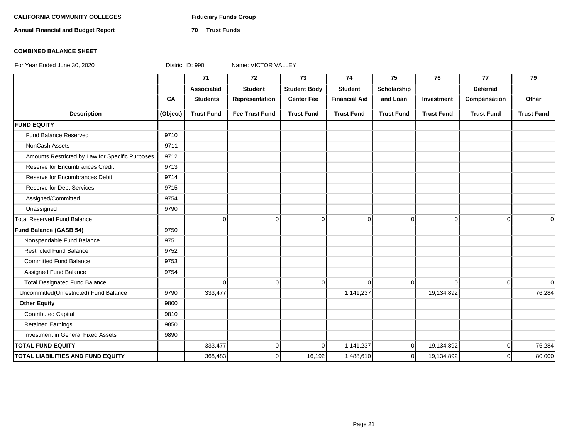#### CALIFORNIA COMMUNITY COLLEGES Fiduciary Funds Group

**Annual Financial and Budget Report 70 Trust Funds**

#### **COMBINED BALANCE SHEET**

|                                                 |           | 71                | 72                    | 73                  | 74                   | 75                | 76                | 77                | 79                |
|-------------------------------------------------|-----------|-------------------|-----------------------|---------------------|----------------------|-------------------|-------------------|-------------------|-------------------|
|                                                 |           | Associated        | <b>Student</b>        | <b>Student Body</b> | <b>Student</b>       | Scholarship       |                   | <b>Deferred</b>   |                   |
|                                                 | <b>CA</b> | <b>Students</b>   | Representation        | <b>Center Fee</b>   | <b>Financial Aid</b> | and Loan          | Investment        | Compensation      | Other             |
| <b>Description</b>                              | (Object)  | <b>Trust Fund</b> | <b>Fee Trust Fund</b> | <b>Trust Fund</b>   | <b>Trust Fund</b>    | <b>Trust Fund</b> | <b>Trust Fund</b> | <b>Trust Fund</b> | <b>Trust Fund</b> |
| <b>FUND EQUITY</b>                              |           |                   |                       |                     |                      |                   |                   |                   |                   |
| Fund Balance Reserved                           | 9710      |                   |                       |                     |                      |                   |                   |                   |                   |
| NonCash Assets                                  | 9711      |                   |                       |                     |                      |                   |                   |                   |                   |
| Amounts Restricted by Law for Specific Purposes | 9712      |                   |                       |                     |                      |                   |                   |                   |                   |
| Reserve for Encumbrances Credit                 | 9713      |                   |                       |                     |                      |                   |                   |                   |                   |
| Reserve for Encumbrances Debit                  | 9714      |                   |                       |                     |                      |                   |                   |                   |                   |
| <b>Reserve for Debt Services</b>                | 9715      |                   |                       |                     |                      |                   |                   |                   |                   |
| Assigned/Committed                              | 9754      |                   |                       |                     |                      |                   |                   |                   |                   |
| Unassigned                                      | 9790      |                   |                       |                     |                      |                   |                   |                   |                   |
| <b>Total Reserved Fund Balance</b>              |           | $\mathbf 0$       | $\overline{0}$        | $\overline{0}$      | 0                    | 0                 | $\overline{0}$    | $\overline{0}$    | $\mathbf 0$       |
| <b>Fund Balance (GASB 54)</b>                   | 9750      |                   |                       |                     |                      |                   |                   |                   |                   |
| Nonspendable Fund Balance                       | 9751      |                   |                       |                     |                      |                   |                   |                   |                   |
| <b>Restricted Fund Balance</b>                  | 9752      |                   |                       |                     |                      |                   |                   |                   |                   |
| <b>Committed Fund Balance</b>                   | 9753      |                   |                       |                     |                      |                   |                   |                   |                   |
| Assigned Fund Balance                           | 9754      |                   |                       |                     |                      |                   |                   |                   |                   |
| <b>Total Designated Fund Balance</b>            |           | $\Omega$          | 0                     | $\Omega$            | $\Omega$             | 0                 | $\Omega$          | $\Omega$          | $\Omega$          |
| Uncommitted(Unrestricted) Fund Balance          | 9790      | 333,477           |                       |                     | 1,141,237            |                   | 19,134,892        |                   | 76,284            |
| <b>Other Equity</b>                             | 9800      |                   |                       |                     |                      |                   |                   |                   |                   |
| <b>Contributed Capital</b>                      | 9810      |                   |                       |                     |                      |                   |                   |                   |                   |
| <b>Retained Earnings</b>                        | 9850      |                   |                       |                     |                      |                   |                   |                   |                   |
| Investment in General Fixed Assets              | 9890      |                   |                       |                     |                      |                   |                   |                   |                   |
| <b>TOTAL FUND EQUITY</b>                        |           | 333,477           | $\overline{0}$        | $\Omega$            | 1,141,237            | $\mathbf 0$       | 19,134,892        | $\overline{0}$    | 76,284            |
| <b>TOTAL LIABILITIES AND FUND EQUITY</b>        |           | 368,483           | 0                     | 16,192              | 1,488,610            | 0                 | 19,134,892        | $\Omega$          | 80,000            |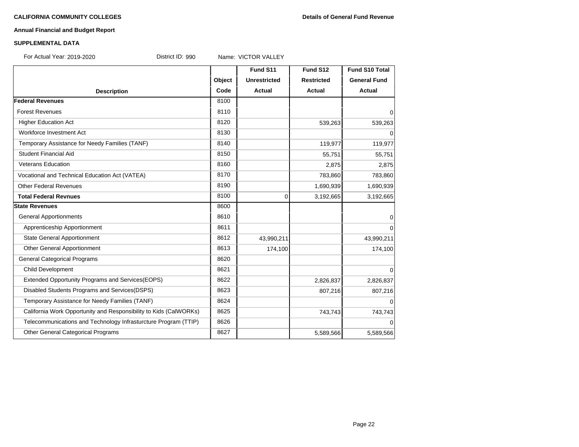#### **Annual Financial and Budget Report**

#### **SUPPLEMENTAL DATA**

For Actual Year: 2019-2020 District ID: 990 Name: VICTOR VALLEY

|                                                                   |        | Fund S11            | Fund S12          | <b>Fund S10 Total</b> |
|-------------------------------------------------------------------|--------|---------------------|-------------------|-----------------------|
|                                                                   | Object | <b>Unrestricted</b> | <b>Restricted</b> | <b>General Fund</b>   |
| <b>Description</b>                                                | Code   | Actual              | <b>Actual</b>     | Actual                |
| <b>Federal Revenues</b>                                           | 8100   |                     |                   |                       |
| <b>Forest Revenues</b>                                            | 8110   |                     |                   | $\overline{0}$        |
| <b>Higher Education Act</b>                                       | 8120   |                     | 539,263           | 539,263               |
| Workforce Investment Act                                          | 8130   |                     |                   | $\overline{0}$        |
| Temporary Assistance for Needy Families (TANF)                    | 8140   |                     | 119,977           | 119,977               |
| Student Financial Aid                                             | 8150   |                     | 55,751            | 55,751                |
| <b>Veterans Education</b>                                         | 8160   |                     | 2,875             | 2,875                 |
| Vocational and Technical Education Act (VATEA)                    | 8170   |                     | 783,860           | 783,860               |
| <b>Other Federal Revenues</b>                                     | 8190   |                     | 1,690,939         | 1,690,939             |
| <b>Total Federal Revnues</b>                                      | 8100   | $\Omega$            | 3,192,665         | 3,192,665             |
| <b>State Revenues</b>                                             | 8600   |                     |                   |                       |
| <b>General Apportionments</b>                                     | 8610   |                     |                   | $\overline{0}$        |
| Apprenticeship Apportionment                                      | 8611   |                     |                   | $\overline{0}$        |
| <b>State General Apportionment</b>                                | 8612   | 43,990,211          |                   | 43,990,211            |
| Other General Apportionment                                       | 8613   | 174,100             |                   | 174,100               |
| <b>General Categorical Programs</b>                               | 8620   |                     |                   |                       |
| Child Development                                                 | 8621   |                     |                   | $\overline{0}$        |
| Extended Opportunity Programs and Services(EOPS)                  | 8622   |                     | 2,826,837         | 2,826,837             |
| Disabled Students Programs and Services (DSPS)                    | 8623   |                     | 807,216           | 807,216               |
| Temporary Assistance for Needy Families (TANF)                    | 8624   |                     |                   | $\overline{0}$        |
| California Work Opportunity and Responsibility to Kids (CalWORKs) | 8625   |                     | 743,743           | 743,743               |
| Telecommunications and Technology Infrasturcture Program (TTIP)   | 8626   |                     |                   | $\overline{0}$        |
| Other General Categorical Programs                                | 8627   |                     | 5,589,566         | 5,589,566             |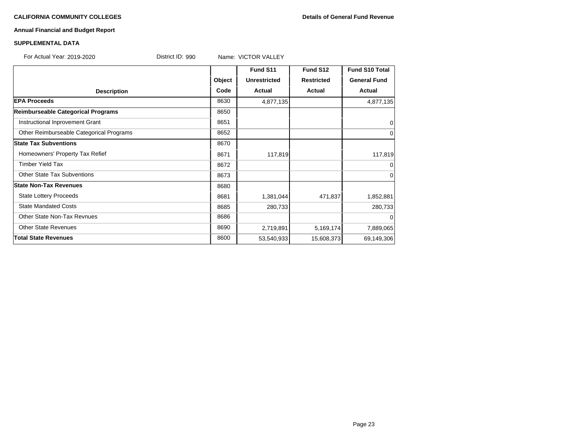#### **CALIFORNIA COMMUNITY COLLEGES Details of General Fund Revenue**

#### **Annual Financial and Budget Report**

#### **SUPPLEMENTAL DATA**

For Actual Year: 2019-2020 District ID: 990 Name: VICTOR VALLEY

|                                          |        | Fund S11            | Fund S12          | <b>Fund S10 Total</b> |
|------------------------------------------|--------|---------------------|-------------------|-----------------------|
|                                          | Object | <b>Unrestricted</b> | <b>Restricted</b> | <b>General Fund</b>   |
| <b>Description</b>                       | Code   | Actual              | Actual            | Actual                |
| <b>EPA Proceeds</b>                      | 8630   | 4,877,135           |                   | 4,877,135             |
| Reimburseable Categorical Programs       | 8650   |                     |                   |                       |
| Instructional Inprovement Grant          | 8651   |                     |                   | 0                     |
| Other Reimburseable Categorical Programs | 8652   |                     |                   | $\mathbf 0$           |
| <b>State Tax Subventions</b>             | 8670   |                     |                   |                       |
| Homeowners' Property Tax Refief          | 8671   | 117,819             |                   | 117,819               |
| <b>Timber Yield Tax</b>                  | 8672   |                     |                   | $\Omega$              |
| <b>Other State Tax Subventions</b>       | 8673   |                     |                   | $\mathbf 0$           |
| <b>State Non-Tax Revenues</b>            | 8680   |                     |                   |                       |
| <b>State Lottery Proceeds</b>            | 8681   | 1,381,044           | 471,837           | 1,852,881             |
| <b>State Mandated Costs</b>              | 8685   | 280,733             |                   | 280,733               |
| Other State Non-Tax Revnues              | 8686   |                     |                   | 0                     |
| <b>Other State Revenues</b>              | 8690   | 2,719,891           | 5,169,174         | 7,889,065             |
| <b>Total State Revenues</b>              | 8600   | 53,540,933          | 15,608,373        | 69,149,306            |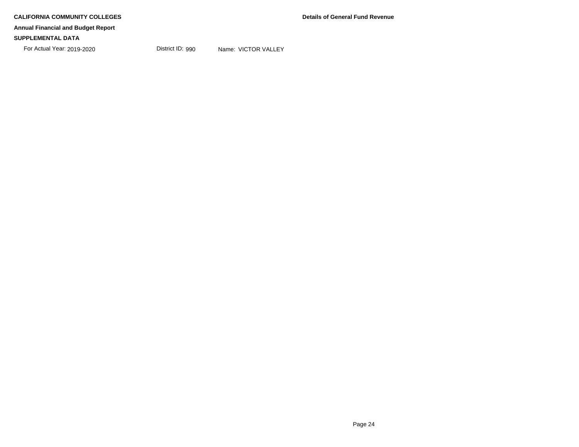For Actual Year: 2019-2020 District ID: 990 Name: VICTOR VALLEY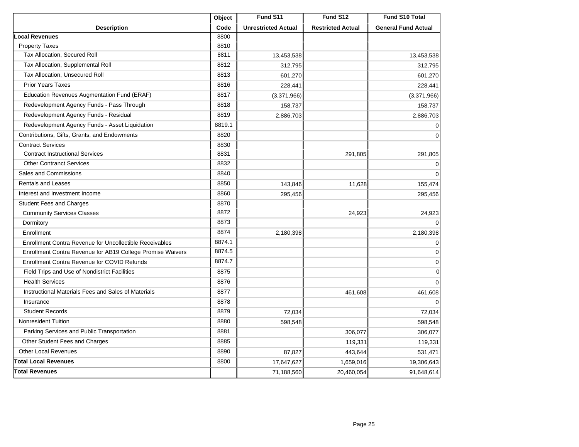|                                                            | Object | Fund S11                   | Fund S12                 | Fund S10 Total             |
|------------------------------------------------------------|--------|----------------------------|--------------------------|----------------------------|
| <b>Description</b>                                         | Code   | <b>Unrestricted Actual</b> | <b>Restricted Actual</b> | <b>General Fund Actual</b> |
| <b>Local Revenues</b>                                      | 8800   |                            |                          |                            |
| <b>Property Taxes</b>                                      | 8810   |                            |                          |                            |
| Tax Allocation, Secured Roll                               | 8811   | 13,453,538                 |                          | 13,453,538                 |
| Tax Allocation, Supplemental Roll                          | 8812   | 312,795                    |                          | 312,795                    |
| Tax Allocation, Unsecured Roll                             | 8813   | 601,270                    |                          | 601,270                    |
| <b>Prior Years Taxes</b>                                   | 8816   | 228,441                    |                          | 228,441                    |
| Education Revenues Augmentation Fund (ERAF)                | 8817   | (3,371,966)                |                          | (3,371,966)                |
| Redevelopment Agency Funds - Pass Through                  | 8818   | 158,737                    |                          | 158,737                    |
| Redevelopment Agency Funds - Residual                      | 8819   | 2,886,703                  |                          | 2,886,703                  |
| Redevelopment Agency Funds - Asset Liquidation             | 8819.1 |                            |                          | $\mathbf 0$                |
| Contributions, Gifts, Grants, and Endowments               | 8820   |                            |                          | 0                          |
| <b>Contract Services</b>                                   | 8830   |                            |                          |                            |
| <b>Contract Instructional Services</b>                     | 8831   |                            | 291,805                  | 291,805                    |
| <b>Other Contranct Services</b>                            | 8832   |                            |                          | 0                          |
| Sales and Commissions                                      | 8840   |                            |                          | $\mathbf 0$                |
| <b>Rentals and Leases</b>                                  | 8850   | 143,846                    | 11,628                   | 155,474                    |
| Interest and Investment Income                             | 8860   | 295,456                    |                          | 295,456                    |
| <b>Student Fees and Charges</b>                            | 8870   |                            |                          |                            |
| <b>Community Services Classes</b>                          | 8872   |                            | 24,923                   | 24,923                     |
| Dormitory                                                  | 8873   |                            |                          | $\Omega$                   |
| Enrollment                                                 | 8874   | 2,180,398                  |                          | 2,180,398                  |
| Enrollment Contra Revenue for Uncollectible Receivables    | 8874.1 |                            |                          | 0                          |
| Enrollment Contra Revenue for AB19 College Promise Waivers | 8874.5 |                            |                          | 0                          |
| Enrollment Contra Revenue for COVID Refunds                | 8874.7 |                            |                          | $\mathbf 0$                |
| Field Trips and Use of Nondistrict Facilities              | 8875   |                            |                          | $\mathbf 0$                |
| <b>Health Services</b>                                     | 8876   |                            |                          | $\mathbf 0$                |
| Instructional Materials Fees and Sales of Materials        | 8877   |                            | 461,608                  | 461,608                    |
| Insurance                                                  | 8878   |                            |                          | $\Omega$                   |
| <b>Student Records</b>                                     | 8879   | 72,034                     |                          | 72,034                     |
| Nonresident Tuition                                        | 8880   | 598,548                    |                          | 598,548                    |
| Parking Services and Public Transportation                 | 8881   |                            | 306,077                  | 306,077                    |
| Other Student Fees and Charges                             | 8885   |                            | 119,331                  | 119,331                    |
| <b>Other Local Revenues</b>                                | 8890   | 87,827                     | 443,644                  | 531,471                    |
| <b>Total Local Revenues</b>                                | 8800   | 17,647,627                 | 1,659,016                | 19,306,643                 |
| <b>Total Revenues</b>                                      |        | 71,188,560                 | 20,460,054               | 91,648,614                 |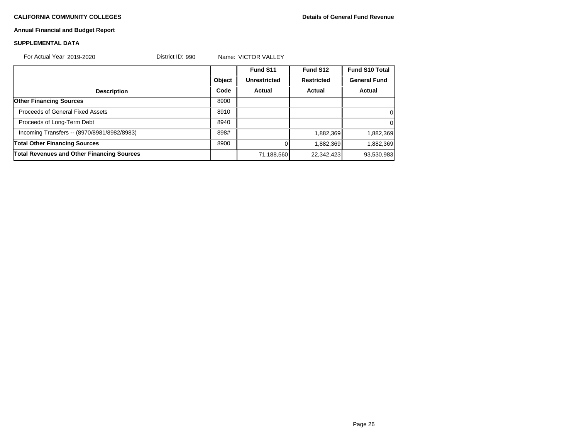#### **CALIFORNIA COMMUNITY COLLEGES Details of General Fund Revenue**

#### **Annual Financial and Budget Report**

#### **SUPPLEMENTAL DATA**

| For Actual Year: 2019-2020                        | District ID: 990 |        | Name: VICTOR VALLEY |                   |                       |
|---------------------------------------------------|------------------|--------|---------------------|-------------------|-----------------------|
|                                                   |                  |        | Fund S11            | Fund S12          | <b>Fund S10 Total</b> |
|                                                   |                  | Object | <b>Unrestricted</b> | <b>Restricted</b> | <b>General Fund</b>   |
| <b>Description</b>                                |                  | Code   | Actual              | Actual            | Actual                |
| <b>Other Financing Sources</b>                    |                  | 8900   |                     |                   |                       |
| <b>Proceeds of General Fixed Assets</b>           |                  | 8910   |                     |                   | 0                     |
| Proceeds of Long-Term Debt                        |                  | 8940   |                     |                   | 0                     |
| Incoming Transfers -- (8970/8981/8982/8983)       |                  | 898#   |                     | 1,882,369         | 1,882,369             |
| <b>Total Other Financing Sources</b>              |                  | 8900   |                     | 1,882,369         | 1,882,369             |
| <b>Total Revenues and Other Financing Sources</b> |                  |        | 71,188,560          | 22,342,423        | 93,530,983            |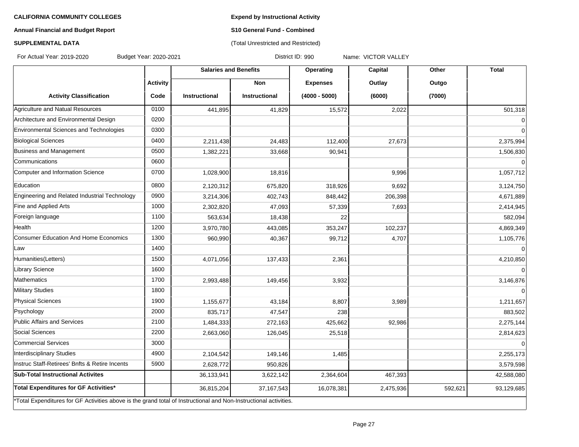**Expend by Instructional Activity**

#### **Annual Financial and Budget Report**

### **S10 General Fund - Combined** (Total Unrestricted and Restricted)

### **SUPPLEMENTAL DATA**

For Actual Year: 2019-2020 Budget Year: 2020-2021 District ID: 990 Name: VICTOR VALLEY

|                                                                                                                   |                 | <b>Salaries and Benefits</b> |                      | Operating       | Capital   | Other   | <b>Total</b> |
|-------------------------------------------------------------------------------------------------------------------|-----------------|------------------------------|----------------------|-----------------|-----------|---------|--------------|
|                                                                                                                   | <b>Activity</b> |                              | <b>Non</b>           | <b>Expenses</b> | Outlay    | Outgo   |              |
| <b>Activity Classification</b>                                                                                    | Code            | <b>Instructional</b>         | <b>Instructional</b> | $(4000 - 5000)$ | (6000)    | (7000)  |              |
| Agriculture and Natual Resources                                                                                  | 0100            | 441,895                      | 41,829               | 15,572          | 2,022     |         | 501,318      |
| Architecture and Environmental Design                                                                             | 0200            |                              |                      |                 |           |         | $\Omega$     |
| Environmental Sciences and Technologies                                                                           | 0300            |                              |                      |                 |           |         | $\Omega$     |
| <b>Biological Sciences</b>                                                                                        | 0400            | 2,211,438                    | 24,483               | 112,400         | 27,673    |         | 2,375,994    |
| <b>Business and Management</b>                                                                                    | 0500            | 1,382,221                    | 33,668               | 90,941          |           |         | 1,506,830    |
| Communications                                                                                                    | 0600            |                              |                      |                 |           |         | $\Omega$     |
| Computer and Information Science                                                                                  | 0700            | 1,028,900                    | 18,816               |                 | 9,996     |         | 1,057,712    |
| Education                                                                                                         | 0800            | 2,120,312                    | 675,820              | 318,926         | 9,692     |         | 3,124,750    |
| Engineering and Related Industrial Technology                                                                     | 0900            | 3,214,306                    | 402,743              | 848,442         | 206,398   |         | 4,671,889    |
| Fine and Applied Arts                                                                                             | 1000            | 2,302,820                    | 47,093               | 57,339          | 7,693     |         | 2,414,945    |
| Foreign language                                                                                                  | 1100            | 563,634                      | 18,438               | 22              |           |         | 582,094      |
| Health                                                                                                            | 1200            | 3,970,780                    | 443,085              | 353,247         | 102,237   |         | 4,869,349    |
| <b>Consumer Education And Home Economics</b>                                                                      | 1300            | 960,990                      | 40,367               | 99,712          | 4,707     |         | 1,105,776    |
| Law                                                                                                               | 1400            |                              |                      |                 |           |         | $\Omega$     |
| Humanities(Letters)                                                                                               | 1500            | 4,071,056                    | 137,433              | 2,361           |           |         | 4,210,850    |
| Library Science                                                                                                   | 1600            |                              |                      |                 |           |         | $\Omega$     |
| <b>Mathematics</b>                                                                                                | 1700            | 2,993,488                    | 149,456              | 3,932           |           |         | 3,146,876    |
| Military Studies                                                                                                  | 1800            |                              |                      |                 |           |         | $\Omega$     |
| Physical Sciences                                                                                                 | 1900            | 1,155,677                    | 43,184               | 8,807           | 3,989     |         | 1,211,657    |
| Psychology                                                                                                        | 2000            | 835,717                      | 47,547               | 238             |           |         | 883,502      |
| Public Affairs and Services                                                                                       | 2100            | 1,484,333                    | 272,163              | 425,662         | 92,986    |         | 2,275,144    |
| Social Sciences                                                                                                   | 2200            | 2,663,060                    | 126,045              | 25,518          |           |         | 2,814,623    |
| <b>Commercial Services</b>                                                                                        | 3000            |                              |                      |                 |           |         | $\Omega$     |
| Interdisciplinary Studies                                                                                         | 4900            | 2,104,542                    | 149,146              | 1,485           |           |         | 2,255,173    |
| Instruc Staff-Retirees' Bnfts & Retire Incents                                                                    | 5900            | 2,628,772                    | 950,826              |                 |           |         | 3,579,598    |
| <b>Sub-Total Instructional Activites</b>                                                                          |                 | 36,133,941                   | 3,622,142            | 2,364,604       | 467,393   |         | 42,588,080   |
| Total Expenditures for GF Activities*                                                                             |                 | 36,815,204                   | 37, 167, 543         | 16,078,381      | 2,475,936 | 592,621 | 93,129,685   |
| *Total Expenditures for GF Activities above is the grand total of Instructional and Non-Instructional activities. |                 |                              |                      |                 |           |         |              |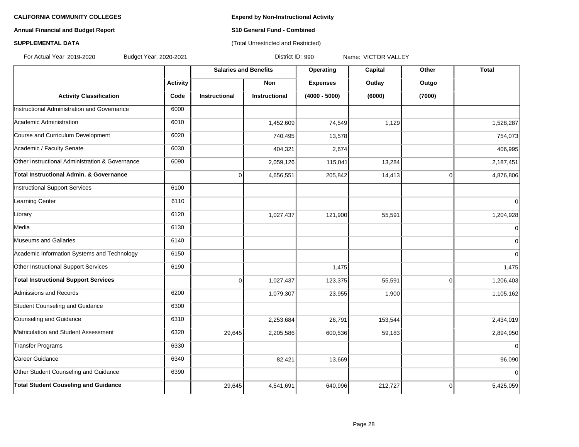#### **Annual Financial and Budget Report S10 General Fund - Combined**

#### **SUPPLEMENTAL DATA CONSERVATION CONSERVATION** (Total Unrestricted and Restricted)

For Actual Year: 2019-2020 Budget Year: 2020-2021 District ID: 990 Name: VICTOR VALLEY

|                                                 |                 | <b>Salaries and Benefits</b> |                      | Operating       | Capital | Other          | <b>Total</b>   |
|-------------------------------------------------|-----------------|------------------------------|----------------------|-----------------|---------|----------------|----------------|
|                                                 | <b>Activity</b> |                              | <b>Non</b>           | <b>Expenses</b> | Outlay  | Outgo          |                |
| <b>Activity Classification</b>                  | Code            | <b>Instructional</b>         | <b>Instructional</b> | $(4000 - 5000)$ | (6000)  | (7000)         |                |
| Instructional Administration and Governance     | 6000            |                              |                      |                 |         |                |                |
| Academic Administration                         | 6010            |                              | 1,452,609            | 74,549          | 1,129   |                | 1,528,287      |
| Course and Curriculum Development               | 6020            |                              | 740,495              | 13,578          |         |                | 754,073        |
| Academic / Faculty Senate                       | 6030            |                              | 404,321              | 2,674           |         |                | 406,995        |
| Other Instructional Administration & Governance | 6090            |                              | 2,059,126            | 115,041         | 13,284  |                | 2,187,451      |
| Total Instructional Admin, & Governance         |                 | $\mathbf 0$                  | 4,656,551            | 205,842         | 14,413  | $\overline{0}$ | 4,876,806      |
| Instructional Support Services                  | 6100            |                              |                      |                 |         |                |                |
| Learning Center                                 | 6110            |                              |                      |                 |         |                | $\Omega$       |
| Library                                         | 6120            |                              | 1,027,437            | 121,900         | 55,591  |                | 1,204,928      |
| Media                                           | 6130            |                              |                      |                 |         |                | $\mathbf 0$    |
| Museums and Gallaries                           | 6140            |                              |                      |                 |         |                | $\mathbf 0$    |
| Academic Information Systems and Technology     | 6150            |                              |                      |                 |         |                | $\Omega$       |
| Other Instructional Support Services            | 6190            |                              |                      | 1,475           |         |                | 1,475          |
| <b>Total Instructional Support Services</b>     |                 | $\overline{0}$               | 1,027,437            | 123,375         | 55,591  | $\overline{0}$ | 1,206,403      |
| Admissions and Records                          | 6200            |                              | 1,079,307            | 23,955          | 1,900   |                | 1,105,162      |
| Student Counseling and Guidance                 | 6300            |                              |                      |                 |         |                |                |
| Counseling and Guidance                         | 6310            |                              | 2,253,684            | 26,791          | 153,544 |                | 2,434,019      |
| Matriculation and Student Assessment            | 6320            | 29,645                       | 2,205,586            | 600,536         | 59,183  |                | 2,894,950      |
| Transfer Programs                               | 6330            |                              |                      |                 |         |                | $\overline{0}$ |
| Career Guidance                                 | 6340            |                              | 82,421               | 13,669          |         |                | 96,090         |
| Other Student Counseling and Guidance           | 6390            |                              |                      |                 |         |                | 0              |
| <b>Total Student Couseling and Guidance</b>     |                 | 29,645                       | 4,541,691            | 640,996         | 212,727 | 0              | 5,425,059      |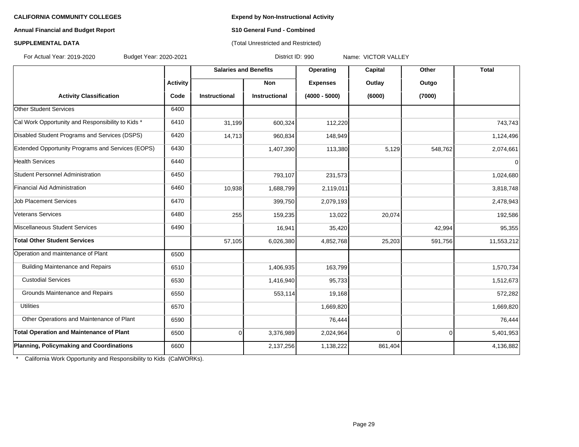#### **Annual Financial and Budget Report S10 General Fund - Combined**

#### **SUPPLEMENTAL DATA CONSERVATION CONSERVATION** (Total Unrestricted and Restricted)

For Actual Year: 2019-2020 Budget Year: 2020-2021 District ID: 990 Name: VICTOR VALLEY

| <b>Activity</b><br><b>Non</b><br><b>Expenses</b><br>Outlay<br>Outgo<br><b>Activity Classification</b><br>$(4000 - 5000)$<br>(6000)<br>(7000)<br>Code<br><b>Instructional</b><br><b>Instructional</b><br><b>Other Student Services</b><br>6400<br>Cal Work Opportunity and Responsibility to Kids *<br>6410<br>31,199<br>600,324<br>112,220<br>Disabled Student Programs and Services (DSPS)<br>6420<br>14,713<br>960,834<br>148,949<br>Extended Opportunity Programs and Services (EOPS)<br>6430<br>113,380<br>5,129<br>548,762<br>1,407,390<br><b>Health Services</b><br>6440<br>Student Personnel Administration<br>6450<br>793,107<br>231,573<br>Financial Aid Administration<br>6460<br>10,938<br>1,688,799<br>2,119,011 | <b>Total</b> |
|------------------------------------------------------------------------------------------------------------------------------------------------------------------------------------------------------------------------------------------------------------------------------------------------------------------------------------------------------------------------------------------------------------------------------------------------------------------------------------------------------------------------------------------------------------------------------------------------------------------------------------------------------------------------------------------------------------------------------|--------------|
|                                                                                                                                                                                                                                                                                                                                                                                                                                                                                                                                                                                                                                                                                                                              |              |
|                                                                                                                                                                                                                                                                                                                                                                                                                                                                                                                                                                                                                                                                                                                              |              |
|                                                                                                                                                                                                                                                                                                                                                                                                                                                                                                                                                                                                                                                                                                                              |              |
|                                                                                                                                                                                                                                                                                                                                                                                                                                                                                                                                                                                                                                                                                                                              | 743,743      |
|                                                                                                                                                                                                                                                                                                                                                                                                                                                                                                                                                                                                                                                                                                                              | 1,124,496    |
|                                                                                                                                                                                                                                                                                                                                                                                                                                                                                                                                                                                                                                                                                                                              | 2,074,661    |
|                                                                                                                                                                                                                                                                                                                                                                                                                                                                                                                                                                                                                                                                                                                              | $\mathbf 0$  |
|                                                                                                                                                                                                                                                                                                                                                                                                                                                                                                                                                                                                                                                                                                                              | 1,024,680    |
|                                                                                                                                                                                                                                                                                                                                                                                                                                                                                                                                                                                                                                                                                                                              | 3,818,748    |
| <b>Job Placement Services</b><br>6470<br>399,750<br>2,079,193                                                                                                                                                                                                                                                                                                                                                                                                                                                                                                                                                                                                                                                                | 2,478,943    |
| Veterans Services<br>6480<br>255<br>159,235<br>13,022<br>20,074                                                                                                                                                                                                                                                                                                                                                                                                                                                                                                                                                                                                                                                              | 192,586      |
| Miscellaneous Student Services<br>6490<br>16,941<br>35,420<br>42,994                                                                                                                                                                                                                                                                                                                                                                                                                                                                                                                                                                                                                                                         | 95,355       |
| Total Other Student Services<br>57,105<br>6,026,380<br>4,852,768<br>25,203<br>591,756                                                                                                                                                                                                                                                                                                                                                                                                                                                                                                                                                                                                                                        | 11,553,212   |
| Operation and maintenance of Plant<br>6500                                                                                                                                                                                                                                                                                                                                                                                                                                                                                                                                                                                                                                                                                   |              |
| <b>Building Maintenance and Repairs</b><br>1,406,935<br>163,799<br>6510                                                                                                                                                                                                                                                                                                                                                                                                                                                                                                                                                                                                                                                      | 1,570,734    |
| <b>Custodial Services</b><br>6530<br>1,416,940<br>95,733                                                                                                                                                                                                                                                                                                                                                                                                                                                                                                                                                                                                                                                                     | 1,512,673    |
| Grounds Maintenance and Repairs<br>553,114<br>6550<br>19,168                                                                                                                                                                                                                                                                                                                                                                                                                                                                                                                                                                                                                                                                 | 572,282      |
| <b>Utilities</b><br>6570<br>1,669,820                                                                                                                                                                                                                                                                                                                                                                                                                                                                                                                                                                                                                                                                                        | 1,669,820    |
| Other Operations and Maintenance of Plant<br>6590<br>76,444                                                                                                                                                                                                                                                                                                                                                                                                                                                                                                                                                                                                                                                                  | 76,444       |
| <b>Total Operation and Maintenance of Plant</b><br>3,376,989<br>2,024,964<br>6500<br>0<br>$\overline{0}$<br><sup>0</sup>                                                                                                                                                                                                                                                                                                                                                                                                                                                                                                                                                                                                     | 5,401,953    |
| Planning, Policymaking and Coordinations<br>6600<br>2,137,256<br>1,138,222<br>861,404                                                                                                                                                                                                                                                                                                                                                                                                                                                                                                                                                                                                                                        | 4,136,882    |

\* California Work Opportunity and Responsibility to Kids (CalWORKs).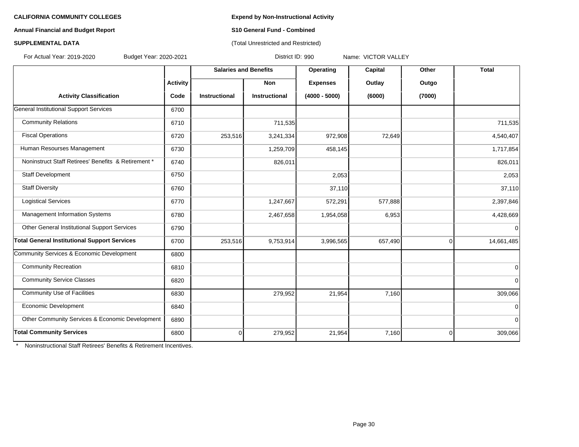#### **Annual Financial and Budget Report S10 General Fund - Combined**

#### **SUPPLEMENTAL DATA CONSERVATION CONSERVATION** (Total Unrestricted and Restricted)

For Actual Year: 2019-2020 Budget Year: 2020-2021 District ID: 990 Name: VICTOR VALLEY

|                                                     |                 | <b>Salaries and Benefits</b> |                      | Operating       | Capital | Other       | <b>Total</b>   |
|-----------------------------------------------------|-----------------|------------------------------|----------------------|-----------------|---------|-------------|----------------|
|                                                     | <b>Activity</b> |                              | <b>Non</b>           | <b>Expenses</b> | Outlay  | Outgo       |                |
| <b>Activity Classification</b>                      | Code            | <b>Instructional</b>         | <b>Instructional</b> | $(4000 - 5000)$ | (6000)  | (7000)      |                |
| <b>General Institutional Support Services</b>       | 6700            |                              |                      |                 |         |             |                |
| <b>Community Relations</b>                          | 6710            |                              | 711,535              |                 |         |             | 711,535        |
| <b>Fiscal Operations</b>                            | 6720            | 253,516                      | 3,241,334            | 972,908         | 72,649  |             | 4,540,407      |
| Human Resourses Management                          | 6730            |                              | 1,259,709            | 458,145         |         |             | 1,717,854      |
| Noninstruct Staff Retirees' Benefits & Retirement * | 6740            |                              | 826,011              |                 |         |             | 826,011        |
| <b>Staff Development</b>                            | 6750            |                              |                      | 2,053           |         |             | 2,053          |
| <b>Staff Diversity</b>                              | 6760            |                              |                      | 37,110          |         |             | 37,110         |
| <b>Logistical Services</b>                          | 6770            |                              | 1,247,667            | 572,291         | 577,888 |             | 2,397,846      |
| Management Information Systems                      | 6780            |                              | 2,467,658            | 1,954,058       | 6,953   |             | 4,428,669      |
| Other General Institutional Support Services        | 6790            |                              |                      |                 |         |             | $\overline{0}$ |
| <b>Total General Institutional Support Services</b> | 6700            | 253,516                      | 9,753,914            | 3,996,565       | 657,490 | 0           | 14,661,485     |
| Community Services & Economic Development           | 6800            |                              |                      |                 |         |             |                |
| <b>Community Recreation</b>                         | 6810            |                              |                      |                 |         |             | 0              |
| <b>Community Service Classes</b>                    | 6820            |                              |                      |                 |         |             | $\overline{0}$ |
| <b>Community Use of Facilities</b>                  | 6830            |                              | 279,952              | 21,954          | 7,160   |             | 309,066        |
| Economic Development                                | 6840            |                              |                      |                 |         |             | $\mathbf 0$    |
| Other Community Services & Economic Development     | 6890            |                              |                      |                 |         |             | $\overline{0}$ |
| <b>Total Community Services</b>                     | 6800            | $\overline{0}$               | 279,952              | 21,954          | 7,160   | $\mathbf 0$ | 309,066        |

\* Noninstructional Staff Retirees' Benefits & Retirement Incentives.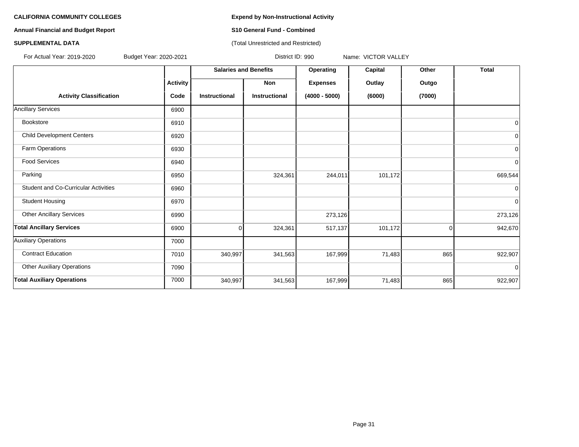**Annual Financial and Budget Report S10 General Fund - Combined**

#### **SUPPLEMENTAL DATA CONSERVATION CONSERVATION** (Total Unrestricted and Restricted)

For Actual Year: 2019-2020 Budget Year: 2020-2021 District ID: 990 Name: VICTOR VALLEY

|                                             |                 | <b>Salaries and Benefits</b> |                      | Operating       | Capital | Other  | <b>Total</b>   |
|---------------------------------------------|-----------------|------------------------------|----------------------|-----------------|---------|--------|----------------|
|                                             | <b>Activity</b> |                              | Non                  | <b>Expenses</b> | Outlay  | Outgo  |                |
| <b>Activity Classification</b>              | Code            | <b>Instructional</b>         | <b>Instructional</b> | $(4000 - 5000)$ | (6000)  | (7000) |                |
| <b>Ancillary Services</b>                   | 6900            |                              |                      |                 |         |        |                |
| Bookstore                                   | 6910            |                              |                      |                 |         |        | $\mathbf 0$    |
| <b>Child Development Centers</b>            | 6920            |                              |                      |                 |         |        | $\overline{0}$ |
| Farm Operations                             | 6930            |                              |                      |                 |         |        | $\overline{0}$ |
| <b>Food Services</b>                        | 6940            |                              |                      |                 |         |        | $\overline{0}$ |
| Parking                                     | 6950            |                              | 324,361              | 244,011         | 101,172 |        | 669,544        |
| <b>Student and Co-Curricular Activities</b> | 6960            |                              |                      |                 |         |        | 0              |
| <b>Student Housing</b>                      | 6970            |                              |                      |                 |         |        | $\overline{0}$ |
| <b>Other Ancillary Services</b>             | 6990            |                              |                      | 273,126         |         |        | 273,126        |
| <b>Total Ancillary Services</b>             | 6900            | $\Omega$                     | 324,361              | 517,137         | 101,172 | 0      | 942,670        |
| <b>Auxiliary Operations</b>                 | 7000            |                              |                      |                 |         |        |                |
| <b>Contract Education</b>                   | 7010            | 340,997                      | 341,563              | 167,999         | 71,483  | 865    | 922,907        |
| <b>Other Auxiliary Operations</b>           | 7090            |                              |                      |                 |         |        | $\mathbf 0$    |
| <b>Total Auxiliary Operations</b>           | 7000            | 340,997                      | 341,563              | 167,999         | 71,483  | 865    | 922,907        |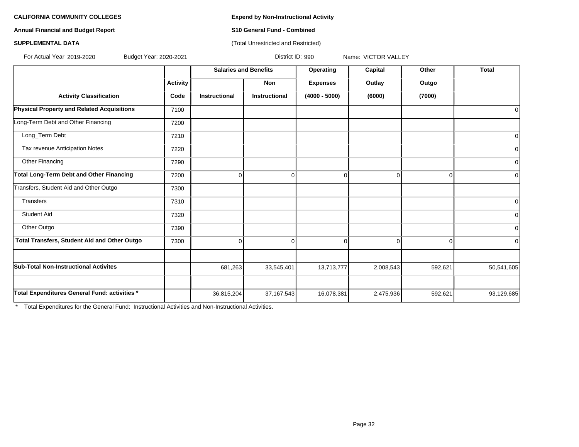#### **Annual Financial and Budget Report S10 General Fund - Combined**

#### **SUPPLEMENTAL DATA CONSERVATION CONSERVATION** (Total Unrestricted and Restricted)

**Salaries and Benefits Operating Capital Other Total** For Actual Year: 2019-2020 Budget Year: 2020-2021 District ID: 990 Name: VICTOR VALLEY

|                                                   |                 | <b>Salaries and Denems</b> |               | Operating       | Capital        | <b>UUIGI</b>   | <b>TOLAI</b>   |
|---------------------------------------------------|-----------------|----------------------------|---------------|-----------------|----------------|----------------|----------------|
|                                                   | <b>Activity</b> |                            | Non           | <b>Expenses</b> | Outlay         | Outgo          |                |
| <b>Activity Classification</b>                    | Code            | Instructional              | Instructional | $(4000 - 5000)$ | (6000)         | (7000)         |                |
| <b>Physical Property and Related Acquisitions</b> | 7100            |                            |               |                 |                |                | $\mathbf 0$    |
| Long-Term Debt and Other Financing                | 7200            |                            |               |                 |                |                |                |
| Long_Term Debt                                    | 7210            |                            |               |                 |                |                | 0              |
| Tax revenue Anticipation Notes                    | 7220            |                            |               |                 |                |                | 0              |
| Other Financing                                   | 7290            |                            |               |                 |                |                | $\overline{0}$ |
| <b>Total Long-Term Debt and Other Financing</b>   | 7200            | $\Omega$                   | 0             | 0               | $\overline{0}$ | $\overline{0}$ | $\Omega$       |
| Transfers, Student Aid and Other Outgo            | 7300            |                            |               |                 |                |                |                |
| <b>Transfers</b>                                  | 7310            |                            |               |                 |                |                | $\Omega$       |
| <b>Student Aid</b>                                | 7320            |                            |               |                 |                |                | $\overline{0}$ |
| Other Outgo                                       | 7390            |                            |               |                 |                |                | 0              |
| Total Transfers, Student Aid and Other Outgo      | 7300            |                            | 0             | ∩               | 0              | $\Omega$       | $\overline{0}$ |
|                                                   |                 |                            |               |                 |                |                |                |
| <b>Sub-Total Non-Instructional Activites</b>      |                 | 681,263                    | 33,545,401    | 13,713,777      | 2,008,543      | 592,621        | 50,541,605     |
|                                                   |                 |                            |               |                 |                |                |                |
| Total Expenditures General Fund: activities *     |                 | 36,815,204                 | 37, 167, 543  | 16,078,381      | 2,475,936      | 592,621        | 93,129,685     |

\* Total Expenditures for the General Fund: Instructional Activities and Non-Instructional Activities.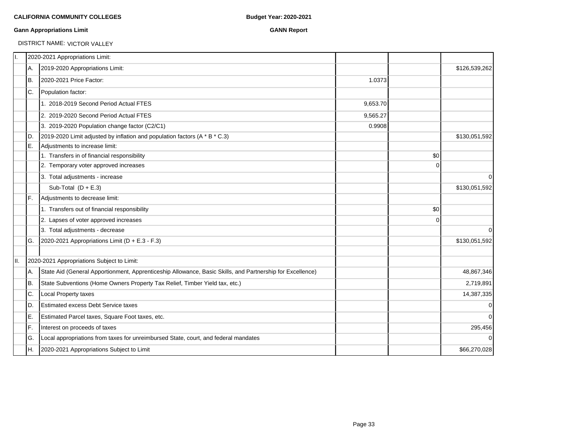#### **Gann Appropriations Limit GANN Report**

### DISTRICT NAME: VICTOR VALLEY

|     |     | 2020-2021 Appropriations Limit:                                                                           |          |          |               |
|-----|-----|-----------------------------------------------------------------------------------------------------------|----------|----------|---------------|
|     | A.  | 2019-2020 Appropriations Limit:                                                                           |          |          | \$126,539,262 |
|     | B.  | 2020-2021 Price Factor:                                                                                   | 1.0373   |          |               |
|     | IC. | Population factor:                                                                                        |          |          |               |
|     |     | 1. 2018-2019 Second Period Actual FTES                                                                    | 9,653.70 |          |               |
|     |     | 2. 2019-2020 Second Period Actual FTES                                                                    | 9,565.27 |          |               |
|     |     | 3. 2019-2020 Population change factor (C2/C1)                                                             | 0.9908   |          |               |
|     | ID. | 2019-2020 Limit adjusted by inflation and population factors (A * B * C.3)                                |          |          | \$130,051,592 |
|     | E.  | Adjustments to increase limit:                                                                            |          |          |               |
|     |     | 1. Transfers in of financial responsibility                                                               |          | \$0      |               |
|     |     | 2. Temporary voter approved increases                                                                     |          | $\Omega$ |               |
|     |     | 3. Total adjustments - increase                                                                           |          |          | 0             |
|     |     | Sub-Total $(D + E.3)$                                                                                     |          |          | \$130,051,592 |
|     | IF. | Adjustments to decrease limit:                                                                            |          |          |               |
|     |     | 1. Transfers out of financial responsibility                                                              |          | \$0      |               |
|     |     | 2. Lapses of voter approved increases                                                                     |          | 0        |               |
|     |     | 3. Total adjustments - decrease                                                                           |          |          | $\Omega$      |
|     | IG. | 2020-2021 Appropriations Limit (D + E.3 - F.3)                                                            |          |          | \$130,051,592 |
| II. |     | 2020-2021 Appropriations Subject to Limit:                                                                |          |          |               |
|     | А.  | State Aid (General Apportionment, Apprenticeship Allowance, Basic Skills, and Partnership for Excellence) |          |          | 48,867,346    |
|     | IB. | State Subventions (Home Owners Property Tax Relief, Timber Yield tax, etc.)                               |          |          | 2,719,891     |
|     | C.  | Local Property taxes                                                                                      |          |          | 14,387,335    |
|     | D.  | <b>Estimated excess Debt Service taxes</b>                                                                |          |          | $\mathbf 0$   |
|     | E.  | Estimated Parcel taxes, Square Foot taxes, etc.                                                           |          |          | $\Omega$      |
|     | F.  | Interest on proceeds of taxes                                                                             |          |          | 295,456       |
|     | lG. | Local appropriations from taxes for unreimbursed State, court, and federal mandates                       |          |          | 0             |
|     | IH. | 2020-2021 Appropriations Subject to Limit                                                                 |          |          | \$66,270,028  |
|     |     |                                                                                                           |          |          |               |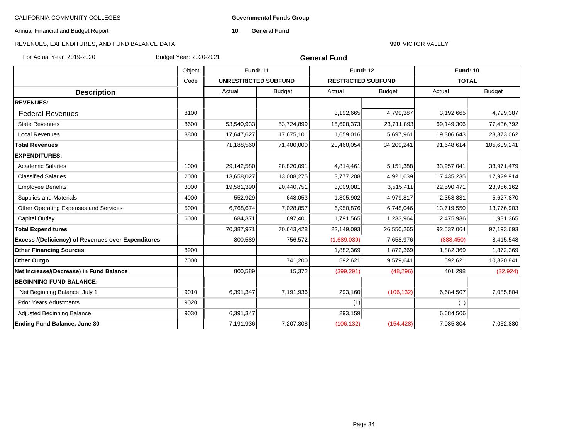**Governmental Funds Group**

Annual Financial and Budget Report

**10 General Fund**

#### REVENUES, EXPENDITURES, AND FUND BALANCE DATA

#### **990** VICTOR VALLEY

For Actual Year: 2019-2020 Budget Year: 2020-2021

**General Fund**

|                                                    | Object<br><b>Fund: 11</b> |                             | <b>Fund: 12</b> |                           | <b>Fund: 10</b> |              |               |
|----------------------------------------------------|---------------------------|-----------------------------|-----------------|---------------------------|-----------------|--------------|---------------|
|                                                    | Code                      | <b>UNRESTRICTED SUBFUND</b> |                 | <b>RESTRICTED SUBFUND</b> |                 | <b>TOTAL</b> |               |
| <b>Description</b>                                 |                           | Actual                      | <b>Budget</b>   | Actual                    | <b>Budget</b>   | Actual       | <b>Budget</b> |
| <b>REVENUES:</b>                                   |                           |                             |                 |                           |                 |              |               |
| <b>Federal Revenues</b>                            | 8100                      |                             |                 | 3,192,665                 | 4,799,387       | 3,192,665    | 4,799,387     |
| <b>State Revenues</b>                              | 8600                      | 53,540,933                  | 53,724,899      | 15,608,373                | 23,711,893      | 69,149,306   | 77,436,792    |
| <b>Local Revenues</b>                              | 8800                      | 17,647,627                  | 17,675,101      | 1,659,016                 | 5,697,961       | 19,306,643   | 23,373,062    |
| <b>Total Revenues</b>                              |                           | 71,188,560                  | 71,400,000      | 20,460,054                | 34,209,241      | 91,648,614   | 105,609,241   |
| <b>EXPENDITURES:</b>                               |                           |                             |                 |                           |                 |              |               |
| <b>Academic Salaries</b>                           | 1000                      | 29,142,580                  | 28,820,091      | 4,814,461                 | 5,151,388       | 33,957,041   | 33,971,479    |
| <b>Classified Salaries</b>                         | 2000                      | 13,658,027                  | 13,008,275      | 3,777,208                 | 4,921,639       | 17,435,235   | 17,929,914    |
| <b>Employee Benefits</b>                           | 3000                      | 19,581,390                  | 20,440,751      | 3,009,081                 | 3,515,411       | 22,590,471   | 23,956,162    |
| <b>Supplies and Materials</b>                      | 4000                      | 552,929                     | 648,053         | 1,805,902                 | 4,979,817       | 2,358,831    | 5,627,870     |
| Other Operating Expenses and Services              | 5000                      | 6,768,674                   | 7,028,857       | 6,950,876                 | 6,748,046       | 13,719,550   | 13,776,903    |
| Capital Outlay                                     | 6000                      | 684,371                     | 697,401         | 1,791,565                 | 1,233,964       | 2,475,936    | 1,931,365     |
| <b>Total Expenditures</b>                          |                           | 70,387,971                  | 70,643,428      | 22,149,093                | 26,550,265      | 92,537,064   | 97,193,693    |
| Excess /(Deficiency) of Revenues over Expenditures |                           | 800,589                     | 756,572         | (1,689,039)               | 7,658,976       | (888, 450)   | 8,415,548     |
| <b>Other Financing Sources</b>                     | 8900                      |                             |                 | 1,882,369                 | 1,872,369       | 1,882,369    | 1,872,369     |
| <b>Other Outgo</b>                                 | 7000                      |                             | 741,200         | 592,621                   | 9,579,641       | 592,621      | 10,320,841    |
| Net Increase/(Decrease) in Fund Balance            |                           | 800,589                     | 15,372          | (399, 291)                | (48, 296)       | 401,298      | (32, 924)     |
| <b>BEGINNING FUND BALANCE:</b>                     |                           |                             |                 |                           |                 |              |               |
| Net Beginning Balance, July 1                      | 9010                      | 6,391,347                   | 7,191,936       | 293,160                   | (106, 132)      | 6,684,507    | 7,085,804     |
| <b>Prior Years Adustments</b>                      | 9020                      |                             |                 | (1)                       |                 | (1)          |               |
| Adjusted Beginning Balance                         | 9030                      | 6,391,347                   |                 | 293,159                   |                 | 6,684,506    |               |
| <b>Ending Fund Balance, June 30</b>                |                           | 7,191,936                   | 7,207,308       | (106, 132)                | (154, 428)      | 7,085,804    | 7,052,880     |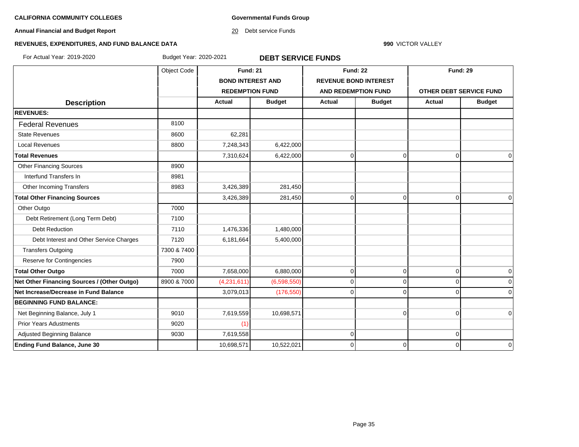**Governmental Funds Group**

**Annual Financial and Budget Report**

20 Debt service Funds

**990** VICTOR VALLEY

#### **REVENUES, EXPENDITURES, AND FUND BALANCE DATA**

For Actual Year: 2019-2020 Budget Year: 2020-2021 **DEBT SERVICE FUNDS**

|                                             | Object Code | <b>Fund: 21</b>          |               | <b>Fund: 22</b>              |                | <b>Fund: 29</b>         |               |
|---------------------------------------------|-------------|--------------------------|---------------|------------------------------|----------------|-------------------------|---------------|
|                                             |             | <b>BOND INTEREST AND</b> |               | <b>REVENUE BOND INTEREST</b> |                |                         |               |
|                                             |             | <b>REDEMPTION FUND</b>   |               | <b>AND REDEMPTION FUND</b>   |                | OTHER DEBT SERVICE FUND |               |
| <b>Description</b>                          |             | Actual                   | <b>Budget</b> | Actual                       | <b>Budget</b>  | <b>Actual</b>           | <b>Budget</b> |
| <b>REVENUES:</b>                            |             |                          |               |                              |                |                         |               |
| <b>Federal Revenues</b>                     | 8100        |                          |               |                              |                |                         |               |
| <b>State Revenues</b>                       | 8600        | 62,281                   |               |                              |                |                         |               |
| <b>Local Revenues</b>                       | 8800        | 7,248,343                | 6,422,000     |                              |                |                         |               |
| <b>Total Revenues</b>                       |             | 7,310,624                | 6,422,000     | $\pmb{0}$                    | 0              | $\overline{0}$          | $\mathbf 0$   |
| <b>Other Financing Sources</b>              | 8900        |                          |               |                              |                |                         |               |
| Interfund Transfers In                      | 8981        |                          |               |                              |                |                         |               |
| Other Incoming Transfers                    | 8983        | 3,426,389                | 281,450       |                              |                |                         |               |
| <b>Total Other Financing Sources</b>        |             | 3,426,389                | 281,450       | $\mathbf 0$                  | $\overline{0}$ | $\Omega$                | $\Omega$      |
| Other Outgo                                 | 7000        |                          |               |                              |                |                         |               |
| Debt Retirement (Long Term Debt)            | 7100        |                          |               |                              |                |                         |               |
| <b>Debt Reduction</b>                       | 7110        | 1,476,336                | 1,480,000     |                              |                |                         |               |
| Debt Interest and Other Service Charges     | 7120        | 6,181,664                | 5,400,000     |                              |                |                         |               |
| <b>Transfers Outgoing</b>                   | 7300 & 7400 |                          |               |                              |                |                         |               |
| Reserve for Contingencies                   | 7900        |                          |               |                              |                |                         |               |
| <b>Total Other Outgo</b>                    | 7000        | 7,658,000                | 6,880,000     | $\mathbf 0$                  | $\overline{0}$ | $\overline{0}$          | 0             |
| Net Other Financing Sources / (Other Outgo) | 8900 & 7000 | (4,231,611)              | (6,598,550)   | $\mathbf 0$                  | $\overline{0}$ | $\mathbf 0$             |               |
| Net Increase/Decrease in Fund Balance       |             | 3,079,013                | (176, 550)    | $\Omega$                     | $\Omega$       | O                       | $\Omega$      |
| <b>BEGINNING FUND BALANCE:</b>              |             |                          |               |                              |                |                         |               |
| Net Beginning Balance, July 1               | 9010        | 7,619,559                | 10,698,571    |                              | $\Omega$       | $\Omega$                | $\Omega$      |
| <b>Prior Years Adustments</b>               | 9020        | (1)                      |               |                              |                |                         |               |
| Adjusted Beginning Balance                  | 9030        | 7,619,558                |               | $\mathbf 0$                  |                | $\mathbf 0$             |               |
| <b>Ending Fund Balance, June 30</b>         |             | 10,698,571               | 10,522,021    | $\Omega$                     | $\Omega$       | $\Omega$                | $\Omega$      |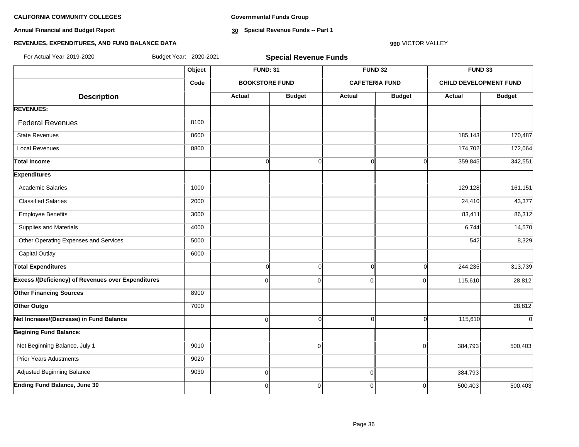**Annual Financial and Budget Report**

**Governmental Funds Group**

**30 Special Revenue Funds -- Part 1**

#### **990** VICTOR VALLEY

#### **REVENUES, EXPENDITURES, AND FUND BALANCE DATA**

| For Actual Year: 2019-2020                                | Budget Year: 2020-2021 |                 | <b>Special Revenue Funds</b> |               |                       |                               |               |
|-----------------------------------------------------------|------------------------|-----------------|------------------------------|---------------|-----------------------|-------------------------------|---------------|
|                                                           | Object                 | <b>FUND: 31</b> |                              |               | FUND <sub>32</sub>    | <b>FUND 33</b>                |               |
|                                                           | Code                   |                 | <b>BOOKSTORE FUND</b>        |               | <b>CAFETERIA FUND</b> | <b>CHILD DEVELOPMENT FUND</b> |               |
| <b>Description</b>                                        |                        | <b>Actual</b>   | <b>Budget</b>                | <b>Actual</b> | <b>Budget</b>         | Actual                        | <b>Budget</b> |
| <b>REVENUES:</b>                                          |                        |                 |                              |               |                       |                               |               |
| <b>Federal Revenues</b>                                   | 8100                   |                 |                              |               |                       |                               |               |
| <b>State Revenues</b>                                     | 8600                   |                 |                              |               |                       | 185,143                       | 170,487       |
| <b>Local Revenues</b>                                     | 8800                   |                 |                              |               |                       | 174,702                       | 172,064       |
| <b>Total Income</b>                                       |                        | $\overline{0}$  | $\Omega$                     | $\Omega$      | $\Omega$              | 359,845                       | 342,551       |
| <b>Expenditures</b>                                       |                        |                 |                              |               |                       |                               |               |
| <b>Academic Salaries</b>                                  | 1000                   |                 |                              |               |                       | 129,128                       | 161,151       |
| <b>Classified Salaries</b>                                | 2000                   |                 |                              |               |                       | 24,410                        | 43,377        |
| <b>Employee Benefits</b>                                  | 3000                   |                 |                              |               |                       | 83,411                        | 86,312        |
| Supplies and Materials                                    | 4000                   |                 |                              |               |                       | 6,744                         | 14,570        |
| Other Operating Expenses and Services                     | 5000                   |                 |                              |               |                       | 542                           | 8,329         |
| <b>Capital Outlay</b>                                     | 6000                   |                 |                              |               |                       |                               |               |
| <b>Total Expenditures</b>                                 |                        | $\overline{0}$  | $\Omega$                     | $\Omega$      | $\Omega$              | 244,235                       | 313,739       |
| <b>Excess /(Deficiency) of Revenues over Expenditures</b> |                        | $\overline{0}$  | $\Omega$                     | $\mathbf 0$   | $\Omega$              | 115,610                       | 28,812        |
| <b>Other Financing Sources</b>                            | 8900                   |                 |                              |               |                       |                               |               |
| Other Outgo                                               | 7000                   |                 |                              |               |                       |                               | 28,812        |
| Net Increase/(Decrease) in Fund Balance                   |                        | $\overline{0}$  | $\Omega$                     | $\Omega$      | $\Omega$              | 115,610                       | $\Omega$      |
| <b>Begining Fund Balance:</b>                             |                        |                 |                              |               |                       |                               |               |
| Net Beginning Balance, July 1                             | 9010                   |                 | $\Omega$                     |               | $\Omega$              | 384,793                       | 500,403       |
| <b>Prior Years Adustments</b>                             | 9020                   |                 |                              |               |                       |                               |               |
| Adjusted Beginning Balance                                | 9030                   | $\overline{0}$  |                              | $\mathbf 0$   |                       | 384,793                       |               |
| <b>Ending Fund Balance, June 30</b>                       |                        | $\overline{0}$  | $\Omega$                     | 0             | $\Omega$              | 500,403                       | 500,403       |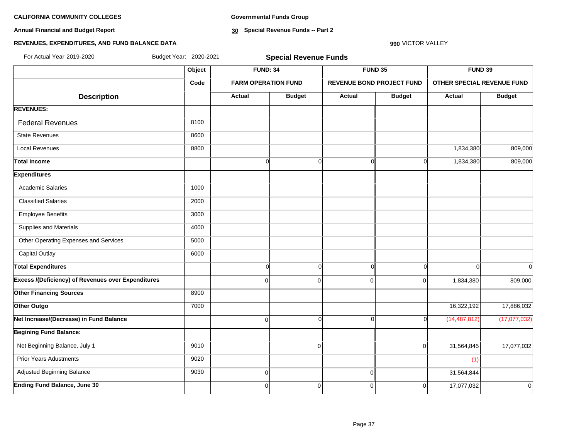**Annual Financial and Budget Report**

**Governmental Funds Group**

**30 Special Revenue Funds -- Part 2**

#### **990** VICTOR VALLEY

#### **REVENUES, EXPENDITURES, AND FUND BALANCE DATA**

| For Actual Year 2019-2020                                 | Budget Year: 2020-2021 |                 | <b>Special Revenue Funds</b> |               |                                  |                                   |                |
|-----------------------------------------------------------|------------------------|-----------------|------------------------------|---------------|----------------------------------|-----------------------------------|----------------|
|                                                           | Object                 | <b>FUND: 34</b> |                              |               | FUND 35                          | FUND 39                           |                |
|                                                           | Code                   |                 | <b>FARM OPERATION FUND</b>   |               | <b>REVENUE BOND PROJECT FUND</b> | <b>OTHER SPECIAL REVENUE FUND</b> |                |
| <b>Description</b>                                        |                        | <b>Actual</b>   | <b>Budget</b>                | <b>Actual</b> | <b>Budget</b>                    | Actual                            | <b>Budget</b>  |
| <b>REVENUES:</b>                                          |                        |                 |                              |               |                                  |                                   |                |
| <b>Federal Revenues</b>                                   | 8100                   |                 |                              |               |                                  |                                   |                |
| <b>State Revenues</b>                                     | 8600                   |                 |                              |               |                                  |                                   |                |
| <b>Local Revenues</b>                                     | 8800                   |                 |                              |               |                                  | 1,834,380                         | 809,000        |
| <b>Total Income</b>                                       |                        | $\overline{0}$  | $\mathbf 0$                  | $\Omega$      | $\Omega$                         | 1,834,380                         | 809,000        |
| <b>Expenditures</b>                                       |                        |                 |                              |               |                                  |                                   |                |
| <b>Academic Salaries</b>                                  | 1000                   |                 |                              |               |                                  |                                   |                |
| <b>Classified Salaries</b>                                | 2000                   |                 |                              |               |                                  |                                   |                |
| <b>Employee Benefits</b>                                  | 3000                   |                 |                              |               |                                  |                                   |                |
| Supplies and Materials                                    | 4000                   |                 |                              |               |                                  |                                   |                |
| Other Operating Expenses and Services                     | 5000                   |                 |                              |               |                                  |                                   |                |
| <b>Capital Outlay</b>                                     | 6000                   |                 |                              |               |                                  |                                   |                |
| <b>Total Expenditures</b>                                 |                        | $\overline{0}$  | $\Omega$                     | $\Omega$      | $\Omega$                         | $\Omega$                          | $\Omega$       |
| <b>Excess /(Deficiency) of Revenues over Expenditures</b> |                        | $\overline{0}$  | $\Omega$                     | $\mathbf 0$   | $\Omega$                         | 1,834,380                         | 809,000        |
| <b>Other Financing Sources</b>                            | 8900                   |                 |                              |               |                                  |                                   |                |
| Other Outgo                                               | 7000                   |                 |                              |               |                                  | 16,322,192                        | 17,886,032     |
| Net Increase/(Decrease) in Fund Balance                   |                        | $\Omega$        | $\Omega$                     | $\Omega$      | ŋ                                | (14, 487, 812)                    | (17,077,032)   |
| <b>Begining Fund Balance:</b>                             |                        |                 |                              |               |                                  |                                   |                |
| Net Beginning Balance, July 1                             | 9010                   |                 | $\Omega$                     |               | 0                                | 31,564,845                        | 17,077,032     |
| <b>Prior Years Adustments</b>                             | 9020                   |                 |                              |               |                                  | (1)                               |                |
| Adjusted Beginning Balance                                | 9030                   | $\overline{0}$  |                              | $\mathbf 0$   |                                  | 31,564,844                        |                |
| Ending Fund Balance, June 30                              |                        | $\overline{0}$  | 0                            | $\mathbf 0$   | $\overline{0}$                   | 17,077,032                        | $\overline{0}$ |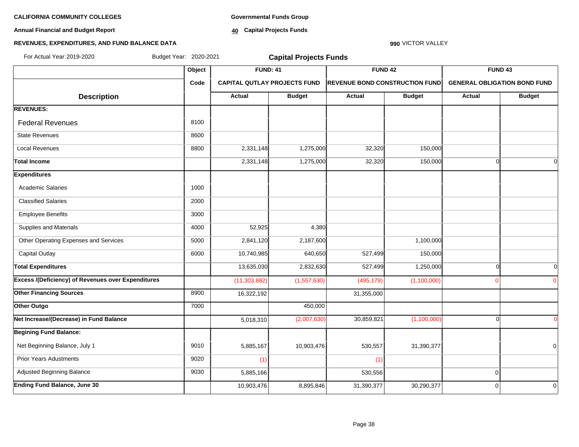**Annual Financial and Budget Report**

**Governmental Funds Group**

**40 Capital Projects Funds**

#### **REVENUES, EXPENDITURES, AND FUND BALANCE DATA**

## **Object FUND: 41 FUND 42 FUND 43 Code CAPITAL QUTLAY PROJECTS FUND REVENUE BOND CONSTRUCTION FUND GENERAL OBLIGATION BOND FUND**  $\begin{array}{|c|c|c|c|c|c|}\n\hline\n\textbf{A} & \textbf{A} & \textbf{B} & \textbf{B} & \textbf{B} & \textbf{B} & \textbf{B} & \textbf{B} & \textbf{B} & \textbf{B} & \textbf{B} & \textbf{B} & \textbf{B} & \textbf{B} & \textbf{B} & \textbf{B} & \textbf{B} & \textbf{B} & \textbf{B} & \textbf{B} & \textbf{B} & \textbf{B} & \textbf{B} & \textbf{B} & \textbf{B} & \textbf{B} & \textbf{B} & \textbf{B} & \$ **REVENUES:** Federal Revenues 8100 State Revenues 8600 Local Revenues 8800 2,331,148 1,275,000 32,320 150,000 **Total Income** 2,331,148 1,275,000 32,320 150,000 0 0 **Expenditures** Academic Salaries 10000 Classified Salaries 2000 Employee Benefits 3000 Supplies and Materials 4000 52,925 4,380 Other Operating Expenses and Services 1.100,000 1 2,841,120 2,187,600 2,187,600 1,100,000 1,100,000 Capital Outlay 6000 10,740,985 640,650 527,499 150,000 **Total Expenditures** 13,635,030 2,832,630 527,499 1,250,000 0 0 **Excess /(Deficiency) of Revenues over Expenditures** (11,303,882) (1,557,630) (495,179) (1,100,000) 0 0 **Other Financing Sources** 8900 16,322,192 31,355,000 31,355,000 **Other Outgo 12000 450,000** 450,000 **Net Increase/(Decrease) in Fund Balance** 5,018,310 (2,007,630) 30,859,821 (1,100,000) 0 0 **Begining Fund Balance:** Net Beginning Balance, July 1 9010 | 9010 | 5,885,167 | 10,903,476 | 530,557 | 31,390,377 | | | 0 Prior Years Adustments 9020 (1) (1) Adjusted Beginning Balance **1986 19930** 5,885,166 5,885,166 530,556 530,556 530,556 530,556 530,556 530,566 530,566 530,566 530,566 530,566 530,566 530,566 530,566 530,566 530,566 530,566 530,566 530,566 530,566 530,566 53 **Ending Fund Balance, June 30** 10,903,476 8,895,846 31,390,377 30,290,377 0 0 For Actual Year:2019-2020 Budget Year: 2020-2021 **Capital Projects Funds**

**990** VICTOR VALLEY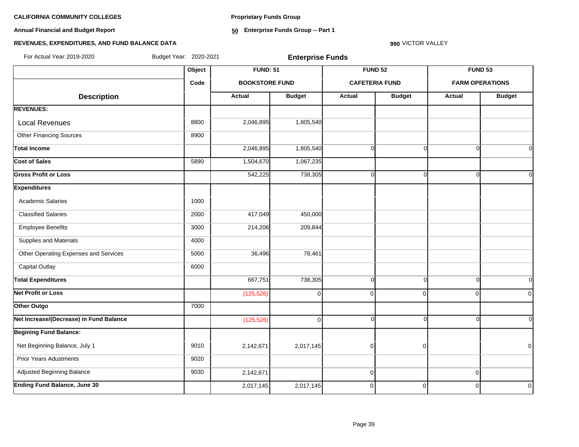**Annual Financial and Budget Report**

**Proprietary Funds Group**

**50 Enterprise Funds Group -- Part 1**

#### **990** VICTOR VALLEY

#### **REVENUES, EXPENDITURES, AND FUND BALANCE DATA**

For Actual Year:2019-2020 Budget Year: 2020-2021 **Enterprise Funds**

|                                         | Object | <b>FUND: 51</b>       |               | <b>FUND 52</b>        |                | <b>FUND 53</b>         |                |
|-----------------------------------------|--------|-----------------------|---------------|-----------------------|----------------|------------------------|----------------|
|                                         | Code   | <b>BOOKSTORE FUND</b> |               | <b>CAFETERIA FUND</b> |                | <b>FARM OPERATIONS</b> |                |
| <b>Description</b>                      |        | <b>Actual</b>         | <b>Budget</b> | Actual                | <b>Budget</b>  | <b>Actual</b>          | <b>Budget</b>  |
| <b>REVENUES:</b>                        |        |                       |               |                       |                |                        |                |
| <b>Local Revenues</b>                   | 8800   | 2,046,895             | 1,805,540     |                       |                |                        |                |
| <b>Other Financing Sources</b>          | 8900   |                       |               |                       |                |                        |                |
| <b>Total Income</b>                     |        | 2,046,895             | 1,805,540     | $\Omega$              | $\Omega$       | $\Omega$               | $\Omega$       |
| Cost of Sales                           | 5890   | 1,504,670             | 1,067,235     |                       |                |                        |                |
| <b>Gross Profit or Loss</b>             |        | 542,225               | 738,305       | $\Omega$              | $\Omega$       | ∩                      | $\Omega$       |
| <b>Expenditures</b>                     |        |                       |               |                       |                |                        |                |
| <b>Academic Salaries</b>                | 1000   |                       |               |                       |                |                        |                |
| <b>Classified Salaries</b>              | 2000   | 417,049               | 450,000       |                       |                |                        |                |
| <b>Employee Benefits</b>                | 3000   | 214,206               | 209,844       |                       |                |                        |                |
| Supplies and Materials                  | 4000   |                       |               |                       |                |                        |                |
| Other Operating Expenses and Services   | 5000   | 36,496                | 78,461        |                       |                |                        |                |
| <b>Capital Outlay</b>                   | 6000   |                       |               |                       |                |                        |                |
| <b>Total Expenditures</b>               |        | 667,751               | 738,305       | $\Omega$              | $\Omega$       | $\Omega$               | $\overline{0}$ |
| <b>Net Profit or Loss</b>               |        | (125, 526)            | $\Omega$      | $\mathbf 0$           | $\Omega$       | $\Omega$               | $\Omega$       |
| Other Outgo                             | 7000   |                       |               |                       |                |                        |                |
| Net Increase/(Decrease) in Fund Balance |        | (125, 526)            | $\Omega$      | $\Omega$              | $\Omega$       | $\Omega$               | $\overline{0}$ |
| <b>Begining Fund Balance:</b>           |        |                       |               |                       |                |                        |                |
| Net Beginning Balance, July 1           | 9010   | 2,142,671             | 2,017,145     | $\overline{0}$        | $\overline{0}$ |                        | $\Omega$       |
| <b>Prior Years Adustments</b>           | 9020   |                       |               |                       |                |                        |                |
| Adjusted Beginning Balance              | 9030   | 2,142,671             |               | $\mathbf 0$           |                | $\Omega$               |                |
| <b>Ending Fund Balance, June 30</b>     |        | 2,017,145             | 2,017,145     | $\mathbf 0$           | $\Omega$       | $\Omega$               | $\Omega$       |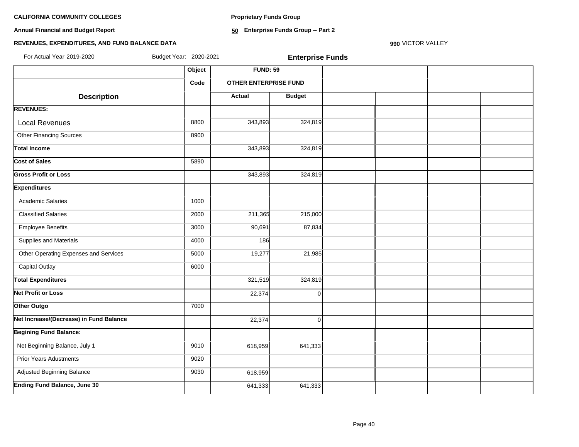**Proprietary Funds Group**

**Annual Financial and Budget Report**

**50 Enterprise Funds Group -- Part 2**

#### **REVENUES, EXPENDITURES, AND FUND BALANCE DATA**

**990** VICTOR VALLEY

| For Actual Year: 2019-2020              | Budget Year: 2020-2021 |                       | <b>Enterprise Funds</b> |  |  |
|-----------------------------------------|------------------------|-----------------------|-------------------------|--|--|
|                                         | Object                 | <b>FUND: 59</b>       |                         |  |  |
|                                         | Code                   | OTHER ENTERPRISE FUND |                         |  |  |
| <b>Description</b>                      |                        | <b>Actual</b>         | <b>Budget</b>           |  |  |
| <b>REVENUES:</b>                        |                        |                       |                         |  |  |
| <b>Local Revenues</b>                   | 8800                   | 343,893               | 324,819                 |  |  |
| <b>Other Financing Sources</b>          | 8900                   |                       |                         |  |  |
| <b>Total Income</b>                     |                        | 343,893               | 324,819                 |  |  |
| <b>Cost of Sales</b>                    | 5890                   |                       |                         |  |  |
| <b>Gross Profit or Loss</b>             |                        | 343,893               | 324,819                 |  |  |
| <b>Expenditures</b>                     |                        |                       |                         |  |  |
| <b>Academic Salaries</b>                | 1000                   |                       |                         |  |  |
| <b>Classified Salaries</b>              | 2000                   | 211,365               | 215,000                 |  |  |
| <b>Employee Benefits</b>                | 3000                   | 90,691                | 87,834                  |  |  |
| Supplies and Materials                  | 4000                   | 186                   |                         |  |  |
| Other Operating Expenses and Services   | 5000                   | 19,277                | 21,985                  |  |  |
| Capital Outlay                          | 6000                   |                       |                         |  |  |
| <b>Total Expenditures</b>               |                        | 321,519               | 324,819                 |  |  |
| <b>Net Profit or Loss</b>               |                        | 22,374                | $\Omega$                |  |  |
| Other Outgo                             | 7000                   |                       |                         |  |  |
| Net Increase/(Decrease) in Fund Balance |                        | 22,374                | $\Omega$                |  |  |
| <b>Begining Fund Balance:</b>           |                        |                       |                         |  |  |
| Net Beginning Balance, July 1           | 9010                   | 618,959               | 641,333                 |  |  |
| <b>Prior Years Adustments</b>           | 9020                   |                       |                         |  |  |
| Adjusted Beginning Balance              | 9030                   | 618,959               |                         |  |  |
| <b>Ending Fund Balance, June 30</b>     |                        | 641,333               | 641,333                 |  |  |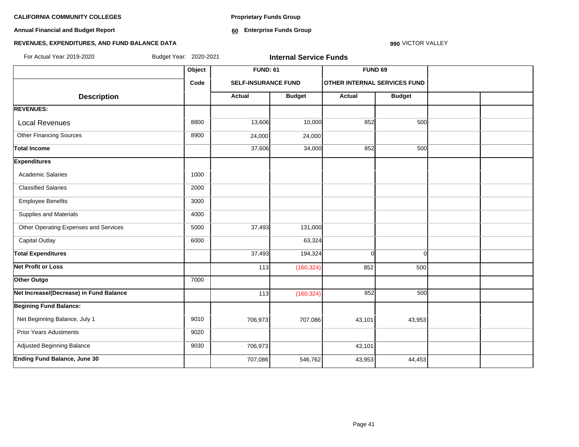**Annual Financial and Budget Report**

**Proprietary Funds Group**

**60 Enterprise Funds Group** 

#### **REVENUES, EXPENDITURES, AND FUND BALANCE DATA**

**990** VICTOR VALLEY

| For Actual Year: 2019-2020<br>Budget Year: 2020-2021<br><b>Internal Service Funds</b> |        |                            |               |                                     |               |  |  |
|---------------------------------------------------------------------------------------|--------|----------------------------|---------------|-------------------------------------|---------------|--|--|
|                                                                                       | Object | <b>FUND: 61</b>            |               | <b>FUND 69</b>                      |               |  |  |
|                                                                                       | Code   | <b>SELF-INSURANCE FUND</b> |               | <b>OTHER INTERNAL SERVICES FUND</b> |               |  |  |
| <b>Description</b>                                                                    |        | <b>Actual</b>              | <b>Budget</b> | Actual                              | <b>Budget</b> |  |  |
| <b>REVENUES:</b>                                                                      |        |                            |               |                                     |               |  |  |
| <b>Local Revenues</b>                                                                 | 8800   | 13,606                     | 10,000        | 852                                 | 500           |  |  |
| <b>Other Financing Sources</b>                                                        | 8900   | 24,000                     | 24,000        |                                     |               |  |  |
| <b>Total Income</b>                                                                   |        | 37,606                     | 34,000        | 852                                 | 500           |  |  |
| <b>Expenditures</b>                                                                   |        |                            |               |                                     |               |  |  |
| <b>Academic Salaries</b>                                                              | 1000   |                            |               |                                     |               |  |  |
| <b>Classified Salaries</b>                                                            | 2000   |                            |               |                                     |               |  |  |
| <b>Employee Benefits</b>                                                              | 3000   |                            |               |                                     |               |  |  |
| <b>Supplies and Materials</b>                                                         | 4000   |                            |               |                                     |               |  |  |
| Other Operating Expenses and Services                                                 | 5000   | 37,493                     | 131,000       |                                     |               |  |  |
| <b>Capital Outlay</b>                                                                 | 6000   |                            | 63,324        |                                     |               |  |  |
| <b>Total Expenditures</b>                                                             |        | 37,493                     | 194,324       | $\Omega$                            | $\Omega$      |  |  |
| Net Profit or Loss                                                                    |        | 113                        | (160, 324)    | 852                                 | 500           |  |  |
| Other Outgo                                                                           | 7000   |                            |               |                                     |               |  |  |
| Net Increase/(Decrease) in Fund Balance                                               |        | 113                        | (160, 324)    | 852                                 | 500           |  |  |
| <b>Begining Fund Balance:</b>                                                         |        |                            |               |                                     |               |  |  |
| Net Beginning Balance, July 1                                                         | 9010   | 706,973                    | 707,086       | 43,101                              | 43,953        |  |  |
| <b>Prior Years Adustments</b>                                                         | 9020   |                            |               |                                     |               |  |  |
| Adjusted Beginning Balance                                                            | 9030   | 706,973                    |               | 43,101                              |               |  |  |
| <b>Ending Fund Balance, June 30</b>                                                   |        | 707,086                    | 546,762       | 43,953                              | 44,453        |  |  |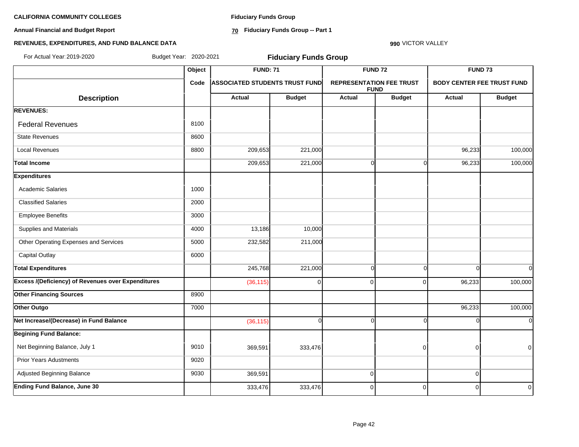**Annual Financial and Budget Report**

**Fiduciary Funds Group**

**70 Fiduciary Funds Group -- Part 1**

#### **990** VICTOR VALLEY

#### **REVENUES, EXPENDITURES, AND FUND BALANCE DATA**

| For Actual Year: 2019-2020                                |        | Budget Year: 2020-2021<br><b>Fiduciary Funds Group</b> |               |                                 |                |                                   |                |  |  |
|-----------------------------------------------------------|--------|--------------------------------------------------------|---------------|---------------------------------|----------------|-----------------------------------|----------------|--|--|
|                                                           | Object | <b>FUND: 71</b>                                        |               |                                 | <b>FUND 72</b> | FUND <sub>73</sub>                |                |  |  |
|                                                           | Code   | <b>ASSOCIATED STUDENTS TRUST FUND</b>                  |               | <b>REPRESENTATION FEE TRUST</b> | <b>FUND</b>    | <b>BODY CENTER FEE TRUST FUND</b> |                |  |  |
| <b>Description</b>                                        |        | <b>Actual</b>                                          | <b>Budget</b> | <b>Actual</b>                   | <b>Budget</b>  | Actual                            | <b>Budget</b>  |  |  |
| <b>REVENUES:</b>                                          |        |                                                        |               |                                 |                |                                   |                |  |  |
| <b>Federal Revenues</b>                                   | 8100   |                                                        |               |                                 |                |                                   |                |  |  |
| <b>State Revenues</b>                                     | 8600   |                                                        |               |                                 |                |                                   |                |  |  |
| <b>Local Revenues</b>                                     | 8800   | 209,653                                                | 221,000       |                                 |                | 96,233                            | 100,000        |  |  |
| <b>Total Income</b>                                       |        | 209,653                                                | 221,000       | $\Omega$                        | O              | 96,233                            | 100,000        |  |  |
| <b>Expenditures</b>                                       |        |                                                        |               |                                 |                |                                   |                |  |  |
| <b>Academic Salaries</b>                                  | 1000   |                                                        |               |                                 |                |                                   |                |  |  |
| <b>Classified Salaries</b>                                | 2000   |                                                        |               |                                 |                |                                   |                |  |  |
| <b>Employee Benefits</b>                                  | 3000   |                                                        |               |                                 |                |                                   |                |  |  |
| Supplies and Materials                                    | 4000   | 13,186                                                 | 10,000        |                                 |                |                                   |                |  |  |
| Other Operating Expenses and Services                     | 5000   | 232,582                                                | 211,000       |                                 |                |                                   |                |  |  |
| <b>Capital Outlay</b>                                     | 6000   |                                                        |               |                                 |                |                                   |                |  |  |
| <b>Total Expenditures</b>                                 |        | 245,768                                                | 221,000       | $\Omega$                        | $\Omega$       | $\Omega$                          | <sup>ol</sup>  |  |  |
| <b>Excess /(Deficiency) of Revenues over Expenditures</b> |        | (36, 115)                                              | $\Omega$      | $\Omega$                        | $\Omega$       | 96,233                            | 100,000        |  |  |
| <b>Other Financing Sources</b>                            | 8900   |                                                        |               |                                 |                |                                   |                |  |  |
| Other Outgo                                               | 7000   |                                                        |               |                                 |                | 96,233                            | 100,000        |  |  |
| Net Increase/(Decrease) in Fund Balance                   |        | (36, 115)                                              | $\Omega$      | $\Omega$                        | ∩              | ∩                                 | οl             |  |  |
| <b>Begining Fund Balance:</b>                             |        |                                                        |               |                                 |                |                                   |                |  |  |
| Net Beginning Balance, July 1                             | 9010   | 369,591                                                | 333,476       |                                 | $\overline{0}$ | $\Omega$                          | $\overline{0}$ |  |  |
| <b>Prior Years Adustments</b>                             | 9020   |                                                        |               |                                 |                |                                   |                |  |  |
| Adjusted Beginning Balance                                | 9030   | 369,591                                                |               | $\overline{0}$                  |                | $\Omega$                          |                |  |  |
| <b>Ending Fund Balance, June 30</b>                       |        | 333,476                                                | 333,476       | $\overline{0}$                  | $\overline{0}$ | $\mathbf 0$                       | $\Omega$       |  |  |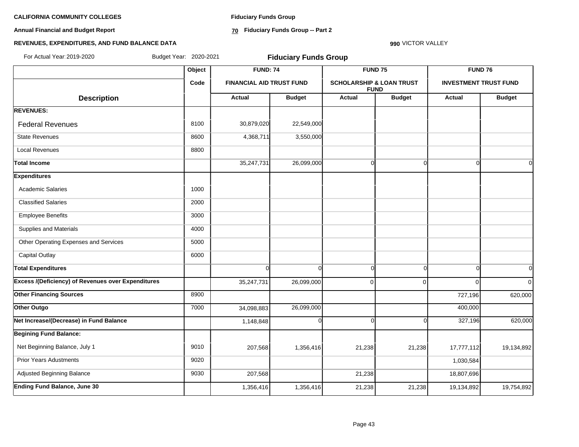**Annual Financial and Budget Report**

**Fiduciary Funds Group**

**70 Fiduciary Funds Group -- Part 2**

#### **REVENUES, EXPENDITURES, AND FUND BALANCE DATA**

**990** VICTOR VALLEY

| For Actual Year: 2019-2020                                | Budget Year: 2020-2021 |                                                    | <b>Fiduciary Funds Group</b> |                                                    |               |                              |                |
|-----------------------------------------------------------|------------------------|----------------------------------------------------|------------------------------|----------------------------------------------------|---------------|------------------------------|----------------|
|                                                           | Object                 | <b>FUND: 74</b><br><b>FINANCIAL AID TRUST FUND</b> |                              | FUND <sub>75</sub>                                 |               | <b>FUND 76</b>               |                |
|                                                           | Code                   |                                                    |                              | <b>SCHOLARSHIP &amp; LOAN TRUST</b><br><b>FUND</b> |               | <b>INVESTMENT TRUST FUND</b> |                |
| <b>Description</b>                                        |                        | <b>Actual</b>                                      | <b>Budget</b>                | Actual                                             | <b>Budget</b> | <b>Actual</b>                | <b>Budget</b>  |
| <b>REVENUES:</b>                                          |                        |                                                    |                              |                                                    |               |                              |                |
| <b>Federal Revenues</b>                                   | 8100                   | 30,879,020                                         | 22,549,000                   |                                                    |               |                              |                |
| <b>State Revenues</b>                                     | 8600                   | 4,368,711                                          | 3,550,000                    |                                                    |               |                              |                |
| <b>Local Revenues</b>                                     | 8800                   |                                                    |                              |                                                    |               |                              |                |
| <b>Total Income</b>                                       |                        | 35,247,731                                         | 26,099,000                   | $\overline{0}$                                     | $\Omega$      | $\cap$                       | $\Omega$       |
| <b>Expenditures</b>                                       |                        |                                                    |                              |                                                    |               |                              |                |
| <b>Academic Salaries</b>                                  | 1000                   |                                                    |                              |                                                    |               |                              |                |
| <b>Classified Salaries</b>                                | 2000                   |                                                    |                              |                                                    |               |                              |                |
| <b>Employee Benefits</b>                                  | 3000                   |                                                    |                              |                                                    |               |                              |                |
| Supplies and Materials                                    | 4000                   |                                                    |                              |                                                    |               |                              |                |
| Other Operating Expenses and Services                     | 5000                   |                                                    |                              |                                                    |               |                              |                |
| <b>Capital Outlay</b>                                     | 6000                   |                                                    |                              |                                                    |               |                              |                |
| <b>Total Expenditures</b>                                 |                        | $\Omega$                                           | $\Omega$                     | $\overline{0}$                                     | $\Omega$      | $\Omega$                     | $\overline{O}$ |
| <b>Excess /(Deficiency) of Revenues over Expenditures</b> |                        | 35,247,731                                         | 26,099,000                   | 0                                                  |               | $\Omega$                     | $\Omega$       |
| <b>Other Financing Sources</b>                            | 8900                   |                                                    |                              |                                                    |               | 727,196                      | 620,000        |
| Other Outgo                                               | 7000                   | 34,098,883                                         | 26,099,000                   |                                                    |               | 400,000                      |                |
| Net Increase/(Decrease) in Fund Balance                   |                        | 1,148,848                                          |                              | <sub>0</sub>                                       |               | 327,196                      | 620,000        |
| <b>Begining Fund Balance:</b>                             |                        |                                                    |                              |                                                    |               |                              |                |
| Net Beginning Balance, July 1                             | 9010                   | 207,568                                            | 1,356,416                    | 21,238                                             | 21,238        | 17,777,112                   | 19,134,892     |
| <b>Prior Years Adustments</b>                             | 9020                   |                                                    |                              |                                                    |               | 1,030,584                    |                |
| Adjusted Beginning Balance                                | 9030                   | 207,568                                            |                              | 21,238                                             |               | 18,807,696                   |                |
| <b>Ending Fund Balance, June 30</b>                       |                        | 1,356,416                                          | 1,356,416                    | 21,238                                             | 21,238        | 19,134,892                   | 19,754,892     |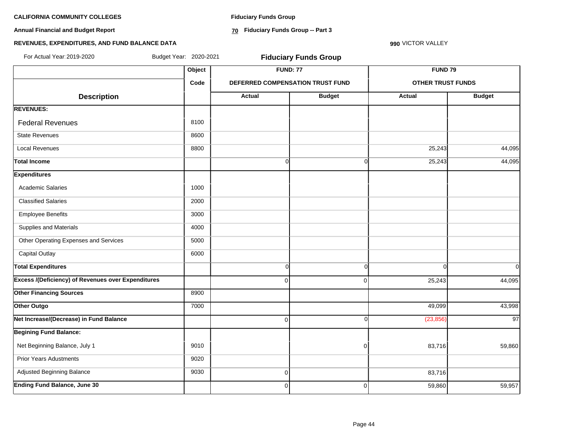**Annual Financial and Budget Report**

**Fiduciary Funds Group**

**70 Fiduciary Funds Group -- Part 3**

**990** VICTOR VALLEY

#### **REVENUES, EXPENDITURES, AND FUND BALANCE DATA**

| For Actual Year: 2019-2020                                | Budget Year: 2020-2021 |                | <b>Fiduciary Funds Group</b>     |                          |                    |  |
|-----------------------------------------------------------|------------------------|----------------|----------------------------------|--------------------------|--------------------|--|
|                                                           | Object                 |                | <b>FUND: 77</b>                  |                          | FUND <sub>79</sub> |  |
|                                                           | Code                   |                | DEFERRED COMPENSATION TRUST FUND | <b>OTHER TRUST FUNDS</b> |                    |  |
| <b>Description</b>                                        |                        | Actual         | <b>Budget</b>                    | <b>Actual</b>            | <b>Budget</b>      |  |
| <b>REVENUES:</b>                                          |                        |                |                                  |                          |                    |  |
| <b>Federal Revenues</b>                                   | 8100                   |                |                                  |                          |                    |  |
| <b>State Revenues</b>                                     | 8600                   |                |                                  |                          |                    |  |
| <b>Local Revenues</b>                                     | 8800                   |                |                                  | 25,243                   | 44,095             |  |
| <b>Total Income</b>                                       |                        | $\overline{0}$ | $\overline{0}$                   | 25,243                   | 44,095             |  |
| <b>Expenditures</b>                                       |                        |                |                                  |                          |                    |  |
| <b>Academic Salaries</b>                                  | 1000                   |                |                                  |                          |                    |  |
| <b>Classified Salaries</b>                                | 2000                   |                |                                  |                          |                    |  |
| <b>Employee Benefits</b>                                  | 3000                   |                |                                  |                          |                    |  |
| Supplies and Materials                                    | 4000                   |                |                                  |                          |                    |  |
| Other Operating Expenses and Services                     | 5000                   |                |                                  |                          |                    |  |
| <b>Capital Outlay</b>                                     | 6000                   |                |                                  |                          |                    |  |
| <b>Total Expenditures</b>                                 |                        | $\overline{0}$ | $\overline{0}$                   | $\Omega$                 | οI                 |  |
| <b>Excess /(Deficiency) of Revenues over Expenditures</b> |                        | $\Omega$       | $\overline{0}$                   | 25,243                   | 44,095             |  |
| <b>Other Financing Sources</b>                            | 8900                   |                |                                  |                          |                    |  |
| Other Outgo                                               | 7000                   |                |                                  | 49,099                   | 43,998             |  |
| Net Increase/(Decrease) in Fund Balance                   |                        | $\Omega$       | $\overline{0}$                   | (23, 856)                | 97                 |  |
| <b>Begining Fund Balance:</b>                             |                        |                |                                  |                          |                    |  |
| Net Beginning Balance, July 1                             | 9010                   |                | 0                                | 83,716                   | 59,860             |  |
| <b>Prior Years Adustments</b>                             | 9020                   |                |                                  |                          |                    |  |
| Adjusted Beginning Balance                                | 9030                   | $\overline{0}$ |                                  | 83,716                   |                    |  |
| <b>Ending Fund Balance, June 30</b>                       |                        | $\Omega$       | $\overline{0}$                   | 59,860                   | 59,957             |  |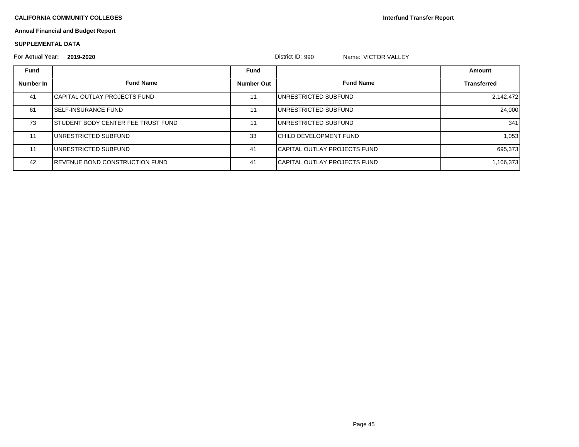**Interfund Transfer Report**

#### **Annual Financial and Budget Report**

#### **SUPPLEMENTAL DATA**

| <b>For Actual Year:</b> | 2019-2020                              |                   | District ID: 990<br>Name: VICTOR VALLEY |                    |
|-------------------------|----------------------------------------|-------------------|-----------------------------------------|--------------------|
| <b>Fund</b>             |                                        | Fund              |                                         | Amount             |
| Number In               | <b>Fund Name</b>                       | <b>Number Out</b> | <b>Fund Name</b>                        | <b>Transferred</b> |
| 41                      | <b>ICAPITAL OUTLAY PROJECTS FUND</b>   | 11                | IUNRESTRICTED SUBFUND                   | 2,142,472          |
| 61                      | <b>ISELF-INSURANCE FUND</b>            | 11                | <b>IUNRESTRICTED SUBFUND</b>            | 24,000             |
| 73                      | ISTUDENT BODY CENTER FEE TRUST FUND    | 11                | IUNRESTRICTED SUBFUND                   | 341                |
| 11                      | UNRESTRICTED SUBFUND                   | 33                | ICHILD DEVELOPMENT FUND                 | 1,053              |
| 11                      | <b>I</b> UNRESTRICTED SUBFUND          | 41                | <b>ICAPITAL OUTLAY PROJECTS FUND</b>    | 695,373            |
| 42                      | <b>IREVENUE BOND CONSTRUCTION FUND</b> | 41                | <b>ICAPITAL OUTLAY PROJECTS FUND</b>    | 1,106,373          |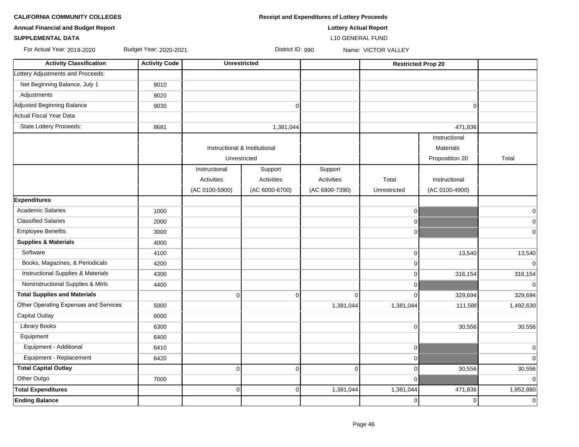| <b>CALIFORNIA COMMUNITY COLLEGES</b> | <b>Receipt and Expenditures of Lottery Proceeds</b> |
|--------------------------------------|-----------------------------------------------------|
|                                      |                                                     |

| <b>Annual Financial and Budget Report</b> | <b>Lottery Actual Report</b> |
|-------------------------------------------|------------------------------|
|                                           |                              |

#### **SUPPLEMENTAL DATA** L10 GENERAL FUND

For Actual Year: 2019-2020 Budget Year: 2020-2021 District ID: 990 Name: VICTOR VALLEY

| <b>Activity Classification</b>        | <b>Activity Code</b> | <b>Unrestricted</b>           |                |                   | <b>Restricted Prop 20</b> |                  |             |
|---------------------------------------|----------------------|-------------------------------|----------------|-------------------|---------------------------|------------------|-------------|
| Lottery Adjustments and Proceeds:     |                      |                               |                |                   |                           |                  |             |
| Net Beginning Balance, July 1         | 9010                 |                               |                |                   |                           |                  |             |
| Adjustments                           | 9020                 |                               |                |                   |                           |                  |             |
| Adjusted Beginning Balance            | 9030                 |                               | $\Omega$       |                   |                           | $\Omega$         |             |
| Actual Fiscal Year Data               |                      |                               |                |                   |                           |                  |             |
| State Lottery Proceeds:               | 8681                 |                               | 1,381,044      |                   |                           | 471,836          |             |
|                                       |                      |                               |                |                   |                           | Instructional    |             |
|                                       |                      | Instructional & Institutional |                |                   |                           | <b>Materials</b> |             |
|                                       |                      | Unrestricted                  |                |                   |                           | Propostition 20  | Total       |
|                                       |                      | Instructional                 | Support        | Support           |                           |                  |             |
|                                       |                      | Activities                    | Activities     | <b>Activities</b> | Total                     | Instructional    |             |
|                                       |                      | (AC 0100-5900)                | (AC 6000-6700) | (AC 6800-7390)    | Unrestricted              | (AC 0100-4900)   |             |
| <b>Expenditures</b>                   |                      |                               |                |                   |                           |                  |             |
| <b>Academic Salaries</b>              | 1000                 |                               |                |                   | $\overline{0}$            |                  | 0           |
| <b>Classified Salaries</b>            | 2000                 |                               |                |                   | $\overline{0}$            |                  | 0           |
| <b>Employee Benefits</b>              | 3000                 |                               |                |                   | $\overline{0}$            |                  | 0           |
| <b>Supplies &amp; Materials</b>       | 4000                 |                               |                |                   |                           |                  |             |
| Software                              | 4100                 |                               |                |                   | 0                         | 13,540           | 13,540      |
| Books, Magazines, & Periodicals       | 4200                 |                               |                |                   | $\Omega$                  |                  | $\mathbf 0$ |
| Instructional Supplies & Materials    | 4300                 |                               |                |                   | $\Omega$                  | 316,154          | 316,154     |
| Noninstructional Supplies & Mtrls     | 4400                 |                               |                |                   | $\Omega$                  |                  | $\mathbf 0$ |
| <b>Total Supplies and Materials</b>   |                      | $\Omega$                      | $\overline{0}$ | $\Omega$          | $\Omega$                  | 329,694          | 329,694     |
| Other Operating Expenses and Services | 5000                 |                               |                | 1,381,044         | 1,381,044                 | 111,586          | 1,492,630   |
| Capital Outlay                        | 6000                 |                               |                |                   |                           |                  |             |
| <b>Library Books</b>                  | 6300                 |                               |                |                   | $\overline{0}$            | 30,556           | 30,556      |
| Equipment                             | 6400                 |                               |                |                   |                           |                  |             |
| Equipment - Additional                | 6410                 |                               |                |                   | 0                         |                  | 0           |
| Equipment - Replacement               | 6420                 |                               |                |                   | $\overline{0}$            |                  | $\mathbf 0$ |
| <b>Total Capital Outlay</b>           |                      | 0                             | $\overline{0}$ | $\overline{0}$    | $\overline{0}$            | 30,556           | 30,556      |
| Other Outgo                           | 7000                 |                               |                |                   | $\overline{0}$            |                  | $\mathbf 0$ |
| <b>Total Expenditures</b>             |                      | 0                             | $\overline{0}$ | 1,381,044         | 1,381,044                 | 471,836          | 1,852,880   |
| <b>Ending Balance</b>                 |                      |                               |                |                   | $\overline{0}$            | $\mathbf 0$      | $\pmb{0}$   |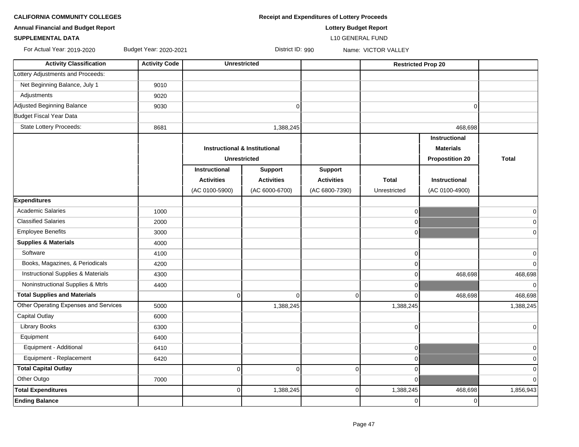**CALIFORNIA COMMUNITY COLLEGES Receipt and Expenditures of Lottery Proceeds** 

#### **SUPPLEMENTAL DATA** L10 GENERAL FUND

For Actual Year: 2019-2020 Budget Year: 2020-2021 District ID: 990 Name: VICTOR VALLEY

| <b>Activity Classification</b>                | <b>Activity Code</b> | <b>Unrestricted</b>                      |                   |                   | <b>Restricted Prop 20</b> |                        |                |
|-----------------------------------------------|----------------------|------------------------------------------|-------------------|-------------------|---------------------------|------------------------|----------------|
| Lottery Adjustments and Proceeds:             |                      |                                          |                   |                   |                           |                        |                |
| Net Beginning Balance, July 1                 | 9010                 |                                          |                   |                   |                           |                        |                |
| Adjustments                                   | 9020                 |                                          |                   |                   |                           |                        |                |
| Adjusted Beginning Balance                    | 9030                 |                                          | $\Omega$          |                   |                           | $\Omega$               |                |
| Budget Fiscal Year Data                       |                      |                                          |                   |                   |                           |                        |                |
| <b>State Lottery Proceeds:</b>                | 8681                 |                                          | 1,388,245         |                   |                           | 468,698                |                |
|                                               |                      |                                          |                   |                   |                           | Instructional          |                |
|                                               |                      | <b>Instructional &amp; Institutional</b> |                   |                   |                           | <b>Materials</b>       |                |
|                                               |                      | <b>Unrestricted</b>                      |                   |                   |                           | <b>Propostition 20</b> | <b>Total</b>   |
|                                               |                      | Instructional                            | <b>Support</b>    | <b>Support</b>    |                           |                        |                |
|                                               |                      | <b>Activities</b>                        | <b>Activities</b> | <b>Activities</b> | <b>Total</b>              | <b>Instructional</b>   |                |
|                                               |                      | (AC 0100-5900)                           | (AC 6000-6700)    | (AC 6800-7390)    | Unrestricted              | (AC 0100-4900)         |                |
| <b>Expenditures</b>                           |                      |                                          |                   |                   |                           |                        |                |
| <b>Academic Salaries</b>                      | 1000                 |                                          |                   |                   | $\overline{0}$            |                        | $\overline{0}$ |
| <b>Classified Salaries</b>                    | 2000                 |                                          |                   |                   | $\Omega$                  |                        | $\overline{0}$ |
| <b>Employee Benefits</b>                      | 3000                 |                                          |                   |                   | $\Omega$                  |                        | $\mathbf 0$    |
| <b>Supplies &amp; Materials</b>               | 4000                 |                                          |                   |                   |                           |                        |                |
| Software                                      | 4100                 |                                          |                   |                   | $\Omega$                  |                        | $\mathbf 0$    |
| Books, Magazines, & Periodicals               | 4200                 |                                          |                   |                   | $\Omega$                  |                        | $\overline{0}$ |
| <b>Instructional Supplies &amp; Materials</b> | 4300                 |                                          |                   |                   | $\Omega$                  | 468,698                | 468,698        |
| Noninstructional Supplies & Mtrls             | 4400                 |                                          |                   |                   | $\Omega$                  |                        | $\overline{0}$ |
| <b>Total Supplies and Materials</b>           |                      | $\overline{0}$                           | $\mathbf 0$       | $\Omega$          | $\Omega$                  | 468,698                | 468,698        |
| Other Operating Expenses and Services         | 5000                 |                                          | 1,388,245         |                   | 1,388,245                 |                        | 1,388,245      |
| Capital Outlay                                | 6000                 |                                          |                   |                   |                           |                        |                |
| <b>Library Books</b>                          | 6300                 |                                          |                   |                   | $\overline{0}$            |                        | $\overline{0}$ |
| Equipment                                     | 6400                 |                                          |                   |                   |                           |                        |                |
| Equipment - Additional                        | 6410                 |                                          |                   |                   | $\overline{0}$            |                        | $\overline{0}$ |
| Equipment - Replacement                       | 6420                 |                                          |                   |                   | $\overline{0}$            |                        | $\mathbf 0$    |
| <b>Total Capital Outlay</b>                   |                      | $\overline{0}$                           | $\Omega$          | $\Omega$          | $\Omega$                  |                        | $\mathbf 0$    |
| Other Outgo                                   | 7000                 |                                          |                   |                   | $\overline{0}$            |                        | $\Omega$       |
| <b>Total Expenditures</b>                     |                      | $\overline{0}$                           | 1,388,245         | 0                 | 1,388,245                 | 468,698                | 1,856,943      |
| <b>Ending Balance</b>                         |                      |                                          |                   |                   | $\overline{0}$            | 0                      |                |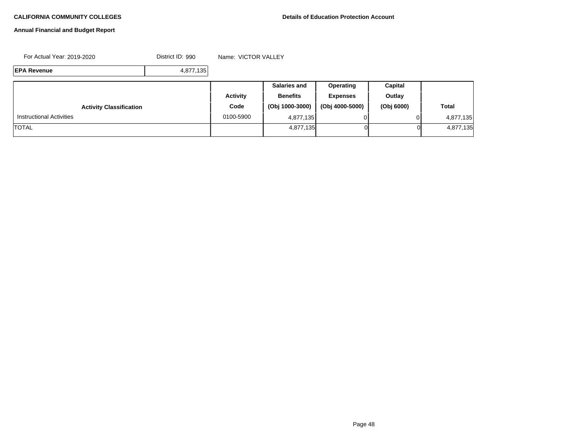#### **Annual Financial and Budget Report**

For Actual Year: 2019-2020 District ID: 990 Name: VICTOR VALLEY

**EPA Revenue** 4,877,135

|                                 |                 | <b>Salaries and</b> | <b>Operating</b> | Capital    |              |
|---------------------------------|-----------------|---------------------|------------------|------------|--------------|
|                                 | <b>Activity</b> | <b>Benefits</b>     | <b>Expenses</b>  | Outlay     |              |
| <b>Activity Classification</b>  | Code            | (Obj 1000-3000)     | (Obj 4000-5000)  | (Obj 6000) | <b>Total</b> |
| <b>Instructional Activities</b> | 0100-5900       | 4,877,135           |                  |            | 4,877,135    |
| <b>TOTAL</b>                    |                 | 4,877,135           | ΟI               | Οl         | 4,877,135    |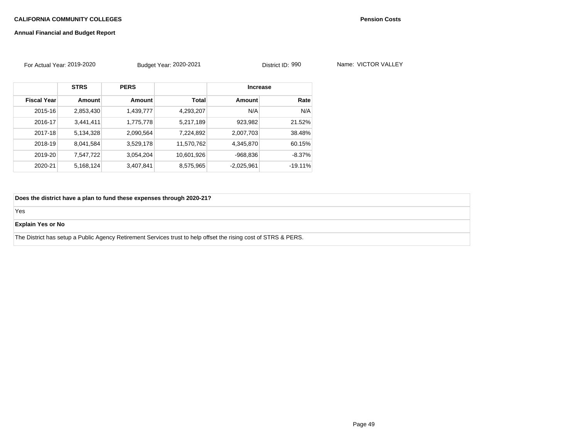### **Annual Financial and Budget Report**

| For Actual Year: 2019-2020 |             | Budget Year: 2020-2021 |              | District ID: 990 |           | Name: VICTOR VALLEY |  |
|----------------------------|-------------|------------------------|--------------|------------------|-----------|---------------------|--|
|                            | <b>STRS</b> | <b>PERS</b>            |              | <b>Increase</b>  |           |                     |  |
| <b>Fiscal Year</b>         | Amount      | <b>Amount</b>          | <b>Total</b> | <b>Amount</b>    | Rate      |                     |  |
| 2015-16                    | 2,853,430   | 1,439,777              | 4,293,207    | N/A              | N/A       |                     |  |
| 2016-17                    | 3,441,411   | 1,775,778              | 5,217,189    | 923,982          | 21.52%    |                     |  |
| 2017-18                    | 5,134,328   | 2,090,564              | 7,224,892    | 2,007,703        | 38.48%    |                     |  |
| 2018-19                    | 8,041,584   | 3,529,178              | 11,570,762   | 4,345,870        | 60.15%    |                     |  |
| 2019-20                    | 7,547,722   | 3,054,204              | 10,601,926   | $-968,836$       | $-8.37\%$ |                     |  |
| 2020-21                    | 5,168,124   | 3,407,841              | 8,575,965    | $-2,025,961$     | $-19.11%$ |                     |  |

**Does the district have a plan to fund these expenses through 2020-21?** 

Yes

#### **Explain Yes or No**

The District has setup a Public Agency Retirement Services trust to help offset the rising cost of STRS & PERS.